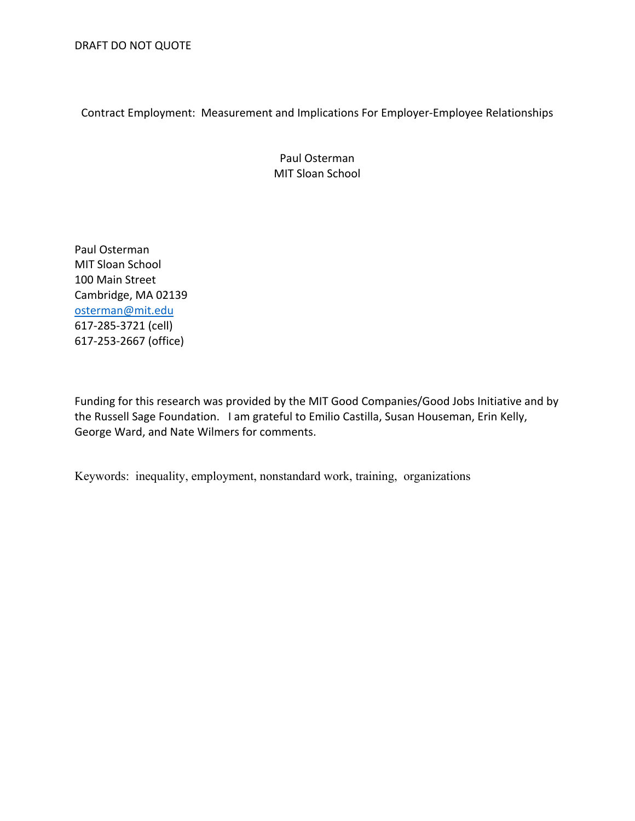Contract Employment: Measurement and Implications For Employer-Employee Relationships

Paul Osterman MIT Sloan School

Paul Osterman MIT Sloan School 100 Main Street Cambridge, MA 02139 osterman@mit.edu 617-285-3721 (cell) 617-253-2667 (office)

Funding for this research was provided by the MIT Good Companies/Good Jobs Initiative and by the Russell Sage Foundation. I am grateful to Emilio Castilla, Susan Houseman, Erin Kelly, George Ward, and Nate Wilmers for comments.

Keywords: inequality, employment, nonstandard work, training, organizations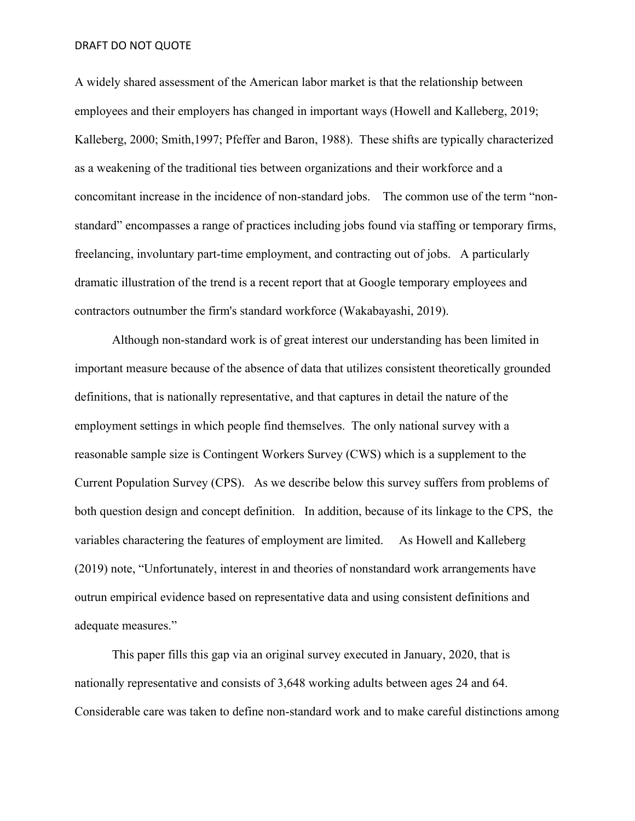A widely shared assessment of the American labor market is that the relationship between employees and their employers has changed in important ways (Howell and Kalleberg, 2019; Kalleberg, 2000; Smith,1997; Pfeffer and Baron, 1988). These shifts are typically characterized as a weakening of the traditional ties between organizations and their workforce and a concomitant increase in the incidence of non-standard jobs. The common use of the term "nonstandard" encompasses a range of practices including jobs found via staffing or temporary firms, freelancing, involuntary part-time employment, and contracting out of jobs. A particularly dramatic illustration of the trend is a recent report that at Google temporary employees and contractors outnumber the firm's standard workforce (Wakabayashi, 2019).

Although non-standard work is of great interest our understanding has been limited in important measure because of the absence of data that utilizes consistent theoretically grounded definitions, that is nationally representative, and that captures in detail the nature of the employment settings in which people find themselves. The only national survey with a reasonable sample size is Contingent Workers Survey (CWS) which is a supplement to the Current Population Survey (CPS). As we describe below this survey suffers from problems of both question design and concept definition. In addition, because of its linkage to the CPS, the variables charactering the features of employment are limited. As Howell and Kalleberg (2019) note, "Unfortunately, interest in and theories of nonstandard work arrangements have outrun empirical evidence based on representative data and using consistent definitions and adequate measures."

This paper fills this gap via an original survey executed in January, 2020, that is nationally representative and consists of 3,648 working adults between ages 24 and 64. Considerable care was taken to define non-standard work and to make careful distinctions among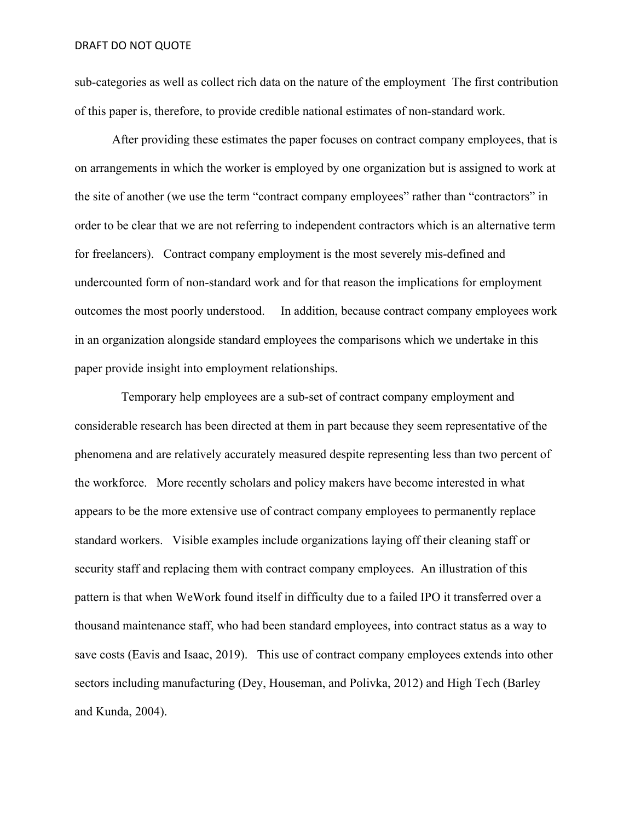sub-categories as well as collect rich data on the nature of the employment The first contribution of this paper is, therefore, to provide credible national estimates of non-standard work.

After providing these estimates the paper focuses on contract company employees, that is on arrangements in which the worker is employed by one organization but is assigned to work at the site of another (we use the term "contract company employees" rather than "contractors" in order to be clear that we are not referring to independent contractors which is an alternative term for freelancers). Contract company employment is the most severely mis-defined and undercounted form of non-standard work and for that reason the implications for employment outcomes the most poorly understood. In addition, because contract company employees work in an organization alongside standard employees the comparisons which we undertake in this paper provide insight into employment relationships.

 Temporary help employees are a sub-set of contract company employment and considerable research has been directed at them in part because they seem representative of the phenomena and are relatively accurately measured despite representing less than two percent of the workforce. More recently scholars and policy makers have become interested in what appears to be the more extensive use of contract company employees to permanently replace standard workers. Visible examples include organizations laying off their cleaning staff or security staff and replacing them with contract company employees. An illustration of this pattern is that when WeWork found itself in difficulty due to a failed IPO it transferred over a thousand maintenance staff, who had been standard employees, into contract status as a way to save costs (Eavis and Isaac, 2019). This use of contract company employees extends into other sectors including manufacturing (Dey, Houseman, and Polivka, 2012) and High Tech (Barley and Kunda, 2004).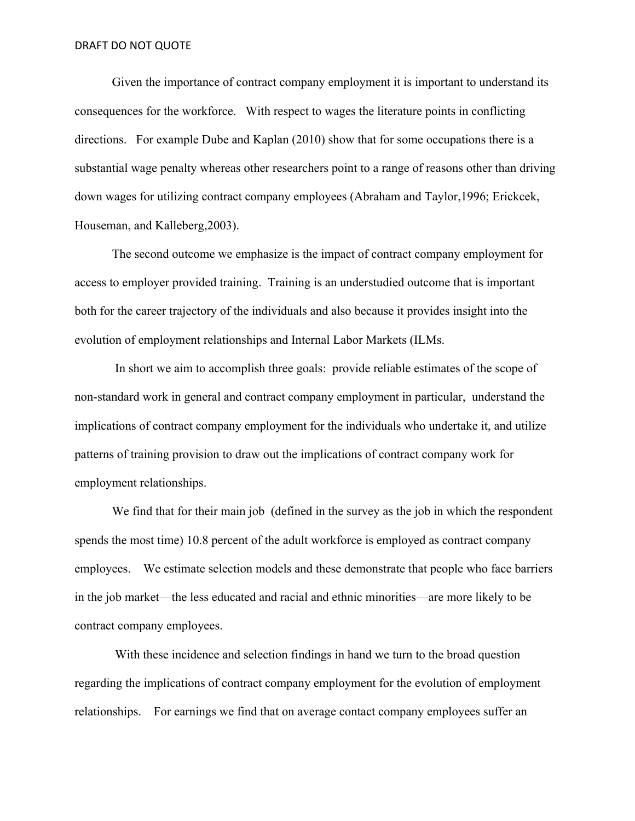Given the importance of contract company employment it is important to understand its consequences for the workforce. With respect to wages the literature points in conflicting directions. For example Dube and Kaplan (2010) show that for some occupations there is a substantial wage penalty whereas other researchers point to a range of reasons other than driving down wages for utilizing contract company employees (Abraham and Taylor,1996; Erickcek, Houseman, and Kalleberg,2003).

 The second outcome we emphasize is the impact of contract company employment for access to employer provided training. Training is an understudied outcome that is important both for the career trajectory of the individuals and also because it provides insight into the evolution of employment relationships and Internal Labor Markets (ILMs.

In short we aim to accomplish three goals: provide reliable estimates of the scope of non-standard work in general and contract company employment in particular, understand the implications of contract company employment for the individuals who undertake it, and utilize patterns of training provision to draw out the implications of contract company work for employment relationships.

We find that for their main job (defined in the survey as the job in which the respondent spends the most time) 10.8 percent of the adult workforce is employed as contract company employees. We estimate selection models and these demonstrate that people who face barriers in the job market—the less educated and racial and ethnic minorities—are more likely to be contract company employees.

 With these incidence and selection findings in hand we turn to the broad question regarding the implications of contract company employment for the evolution of employment relationships. For earnings we find that on average contact company employees suffer an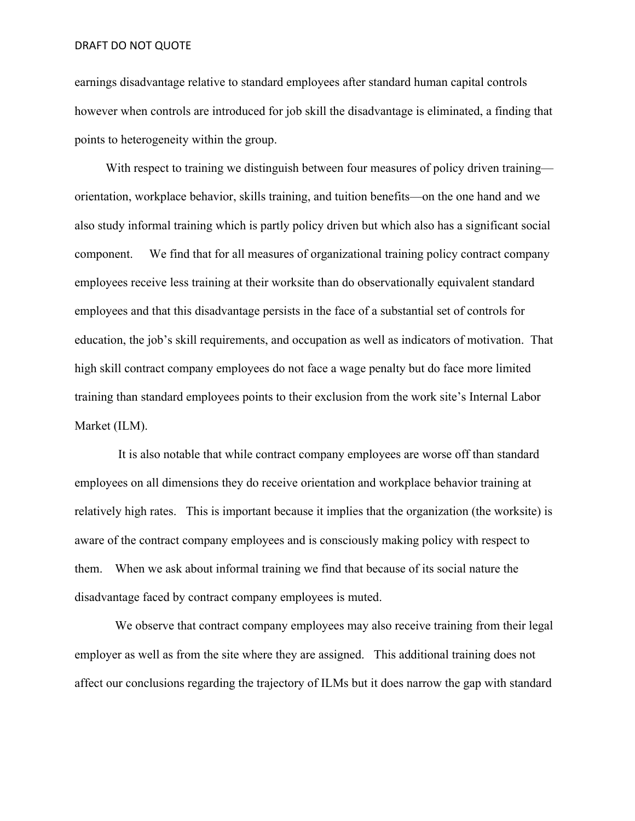earnings disadvantage relative to standard employees after standard human capital controls however when controls are introduced for job skill the disadvantage is eliminated, a finding that points to heterogeneity within the group.

With respect to training we distinguish between four measures of policy driven training orientation, workplace behavior, skills training, and tuition benefits—on the one hand and we also study informal training which is partly policy driven but which also has a significant social component. We find that for all measures of organizational training policy contract company employees receive less training at their worksite than do observationally equivalent standard employees and that this disadvantage persists in the face of a substantial set of controls for education, the job's skill requirements, and occupation as well as indicators of motivation. That high skill contract company employees do not face a wage penalty but do face more limited training than standard employees points to their exclusion from the work site's Internal Labor Market (ILM).

 It is also notable that while contract company employees are worse off than standard employees on all dimensions they do receive orientation and workplace behavior training at relatively high rates. This is important because it implies that the organization (the worksite) is aware of the contract company employees and is consciously making policy with respect to them. When we ask about informal training we find that because of its social nature the disadvantage faced by contract company employees is muted.

 We observe that contract company employees may also receive training from their legal employer as well as from the site where they are assigned. This additional training does not affect our conclusions regarding the trajectory of ILMs but it does narrow the gap with standard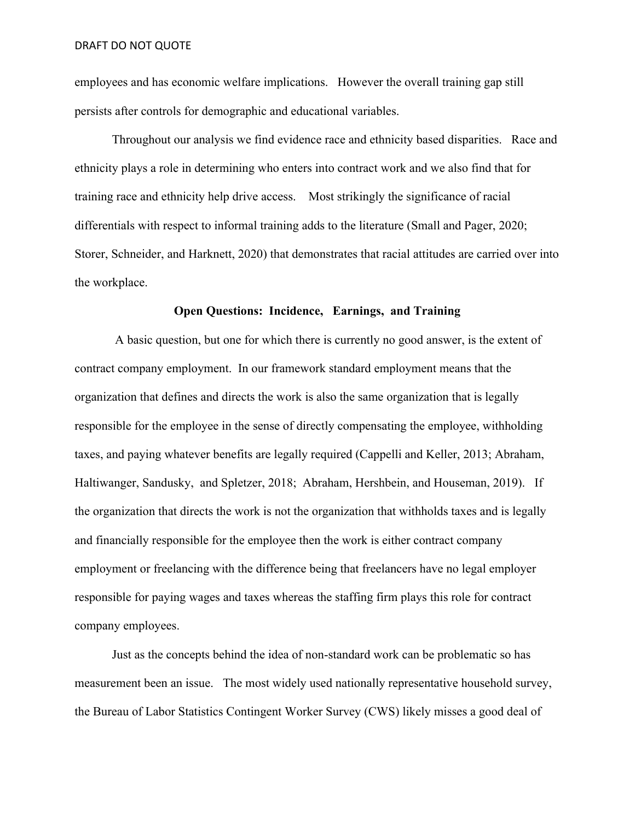employees and has economic welfare implications. However the overall training gap still persists after controls for demographic and educational variables.

Throughout our analysis we find evidence race and ethnicity based disparities. Race and ethnicity plays a role in determining who enters into contract work and we also find that for training race and ethnicity help drive access. Most strikingly the significance of racial differentials with respect to informal training adds to the literature (Small and Pager, 2020; Storer, Schneider, and Harknett, 2020) that demonstrates that racial attitudes are carried over into the workplace.

# **Open Questions: Incidence, Earnings, and Training**

 A basic question, but one for which there is currently no good answer, is the extent of contract company employment. In our framework standard employment means that the organization that defines and directs the work is also the same organization that is legally responsible for the employee in the sense of directly compensating the employee, withholding taxes, and paying whatever benefits are legally required (Cappelli and Keller, 2013; Abraham, Haltiwanger, Sandusky, and Spletzer, 2018; Abraham, Hershbein, and Houseman, 2019). If the organization that directs the work is not the organization that withholds taxes and is legally and financially responsible for the employee then the work is either contract company employment or freelancing with the difference being that freelancers have no legal employer responsible for paying wages and taxes whereas the staffing firm plays this role for contract company employees.

Just as the concepts behind the idea of non-standard work can be problematic so has measurement been an issue. The most widely used nationally representative household survey, the Bureau of Labor Statistics Contingent Worker Survey (CWS) likely misses a good deal of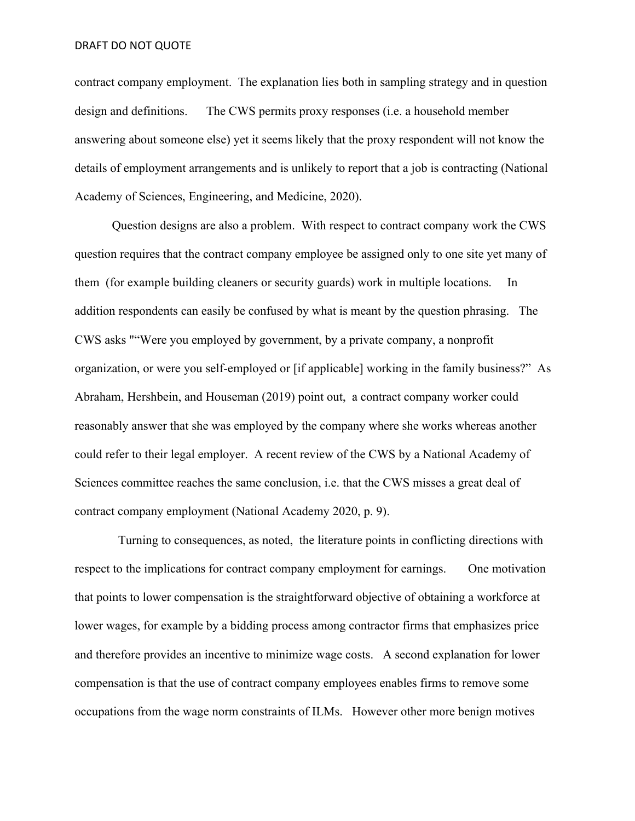contract company employment. The explanation lies both in sampling strategy and in question design and definitions. The CWS permits proxy responses (i.e. a household member answering about someone else) yet it seems likely that the proxy respondent will not know the details of employment arrangements and is unlikely to report that a job is contracting (National Academy of Sciences, Engineering, and Medicine, 2020).

Question designs are also a problem. With respect to contract company work the CWS question requires that the contract company employee be assigned only to one site yet many of them (for example building cleaners or security guards) work in multiple locations. In addition respondents can easily be confused by what is meant by the question phrasing. The CWS asks ""Were you employed by government, by a private company, a nonprofit organization, or were you self-employed or [if applicable] working in the family business?" As Abraham, Hershbein, and Houseman (2019) point out, a contract company worker could reasonably answer that she was employed by the company where she works whereas another could refer to their legal employer. A recent review of the CWS by a National Academy of Sciences committee reaches the same conclusion, i.e. that the CWS misses a great deal of contract company employment (National Academy 2020, p. 9).

 Turning to consequences, as noted, the literature points in conflicting directions with respect to the implications for contract company employment for earnings. One motivation that points to lower compensation is the straightforward objective of obtaining a workforce at lower wages, for example by a bidding process among contractor firms that emphasizes price and therefore provides an incentive to minimize wage costs. A second explanation for lower compensation is that the use of contract company employees enables firms to remove some occupations from the wage norm constraints of ILMs. However other more benign motives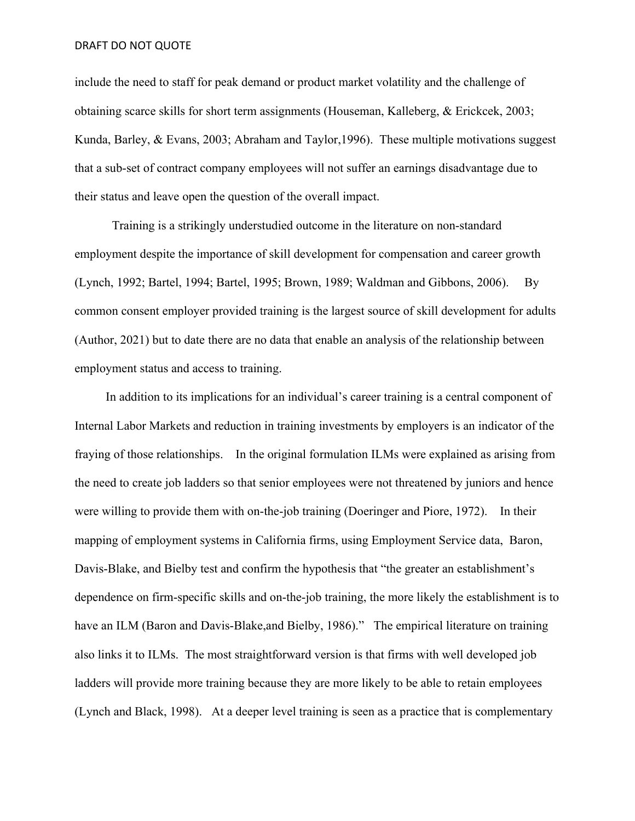include the need to staff for peak demand or product market volatility and the challenge of obtaining scarce skills for short term assignments (Houseman, Kalleberg, & Erickcek, 2003; Kunda, Barley, & Evans, 2003; Abraham and Taylor,1996). These multiple motivations suggest that a sub-set of contract company employees will not suffer an earnings disadvantage due to their status and leave open the question of the overall impact.

 Training is a strikingly understudied outcome in the literature on non-standard employment despite the importance of skill development for compensation and career growth (Lynch, 1992; Bartel, 1994; Bartel, 1995; Brown, 1989; Waldman and Gibbons, 2006). By common consent employer provided training is the largest source of skill development for adults (Author, 2021) but to date there are no data that enable an analysis of the relationship between employment status and access to training.

 In addition to its implications for an individual's career training is a central component of Internal Labor Markets and reduction in training investments by employers is an indicator of the fraying of those relationships. In the original formulation ILMs were explained as arising from the need to create job ladders so that senior employees were not threatened by juniors and hence were willing to provide them with on-the-job training (Doeringer and Piore, 1972). In their mapping of employment systems in California firms, using Employment Service data, Baron, Davis-Blake, and Bielby test and confirm the hypothesis that "the greater an establishment's dependence on firm-specific skills and on-the-job training, the more likely the establishment is to have an ILM (Baron and Davis-Blake,and Bielby, 1986)." The empirical literature on training also links it to ILMs. The most straightforward version is that firms with well developed job ladders will provide more training because they are more likely to be able to retain employees (Lynch and Black, 1998). At a deeper level training is seen as a practice that is complementary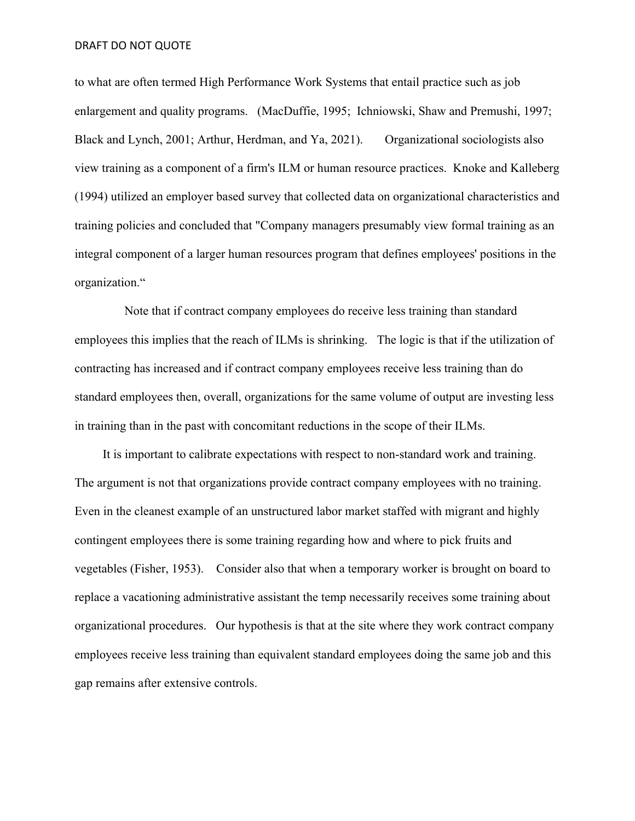to what are often termed High Performance Work Systems that entail practice such as job enlargement and quality programs. (MacDuffie, 1995; Ichniowski, Shaw and Premushi, 1997; Black and Lynch, 2001; Arthur, Herdman, and Ya, 2021). Organizational sociologists also view training as a component of a firm's ILM or human resource practices. Knoke and Kalleberg (1994) utilized an employer based survey that collected data on organizational characteristics and training policies and concluded that "Company managers presumably view formal training as an integral component of a larger human resources program that defines employees' positions in the organization."

 Note that if contract company employees do receive less training than standard employees this implies that the reach of ILMs is shrinking. The logic is that if the utilization of contracting has increased and if contract company employees receive less training than do standard employees then, overall, organizations for the same volume of output are investing less in training than in the past with concomitant reductions in the scope of their ILMs.

 It is important to calibrate expectations with respect to non-standard work and training. The argument is not that organizations provide contract company employees with no training. Even in the cleanest example of an unstructured labor market staffed with migrant and highly contingent employees there is some training regarding how and where to pick fruits and vegetables (Fisher, 1953). Consider also that when a temporary worker is brought on board to replace a vacationing administrative assistant the temp necessarily receives some training about organizational procedures. Our hypothesis is that at the site where they work contract company employees receive less training than equivalent standard employees doing the same job and this gap remains after extensive controls.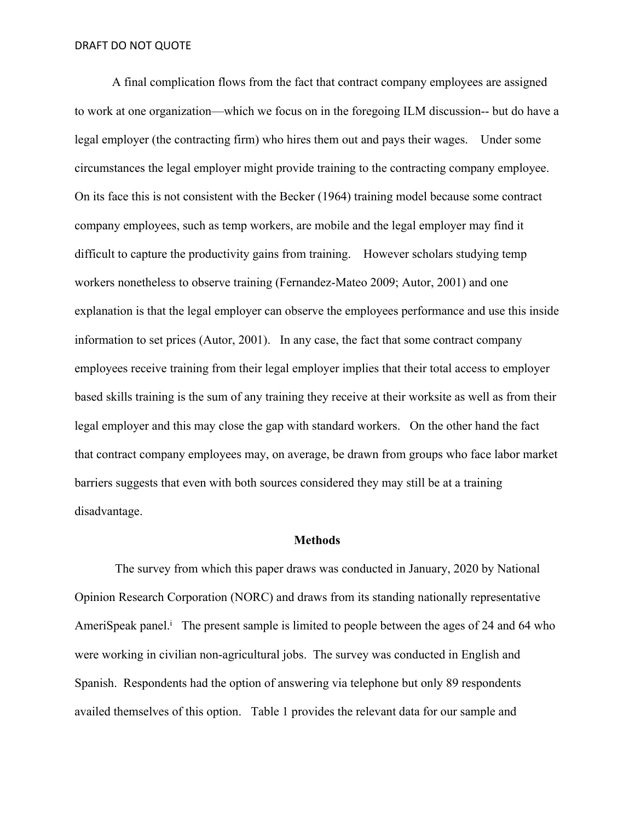A final complication flows from the fact that contract company employees are assigned to work at one organization—which we focus on in the foregoing ILM discussion-- but do have a legal employer (the contracting firm) who hires them out and pays their wages. Under some circumstances the legal employer might provide training to the contracting company employee. On its face this is not consistent with the Becker (1964) training model because some contract company employees, such as temp workers, are mobile and the legal employer may find it difficult to capture the productivity gains from training. However scholars studying temp workers nonetheless to observe training (Fernandez-Mateo 2009; Autor, 2001) and one explanation is that the legal employer can observe the employees performance and use this inside information to set prices (Autor, 2001). In any case, the fact that some contract company employees receive training from their legal employer implies that their total access to employer based skills training is the sum of any training they receive at their worksite as well as from their legal employer and this may close the gap with standard workers. On the other hand the fact that contract company employees may, on average, be drawn from groups who face labor market barriers suggests that even with both sources considered they may still be at a training disadvantage.

#### **Methods**

 The survey from which this paper draws was conducted in January, 2020 by National Opinion Research Corporation (NORC) and draws from its standing nationally representative AmeriSpeak panel.<sup>i</sup> The present sample is limited to people between the ages of 24 and 64 who were working in civilian non-agricultural jobs. The survey was conducted in English and Spanish. Respondents had the option of answering via telephone but only 89 respondents availed themselves of this option. Table 1 provides the relevant data for our sample and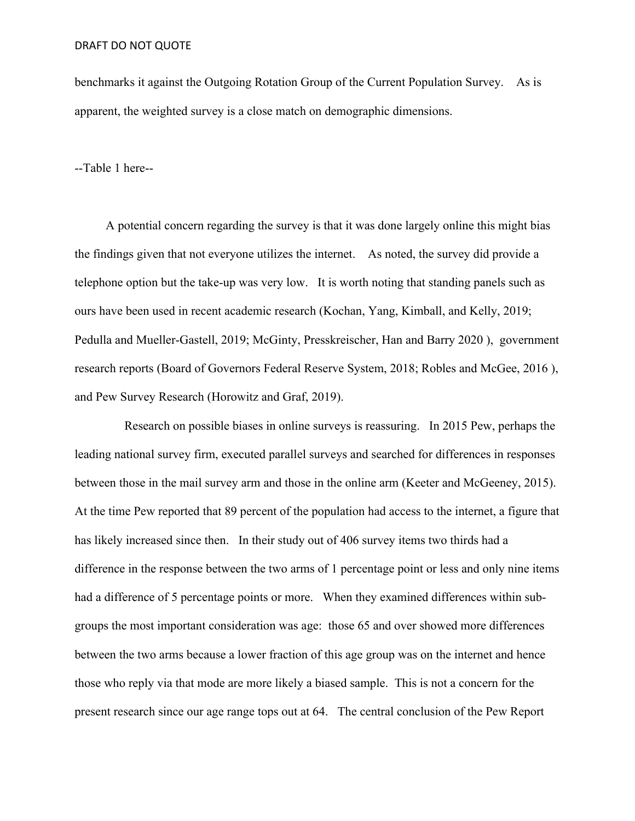benchmarks it against the Outgoing Rotation Group of the Current Population Survey. As is apparent, the weighted survey is a close match on demographic dimensions.

--Table 1 here--

 A potential concern regarding the survey is that it was done largely online this might bias the findings given that not everyone utilizes the internet. As noted, the survey did provide a telephone option but the take-up was very low. It is worth noting that standing panels such as ours have been used in recent academic research (Kochan, Yang, Kimball, and Kelly, 2019; Pedulla and Mueller-Gastell, 2019; McGinty, Presskreischer, Han and Barry 2020 ), government research reports (Board of Governors Federal Reserve System, 2018; Robles and McGee, 2016 ), and Pew Survey Research (Horowitz and Graf, 2019).

 Research on possible biases in online surveys is reassuring. In 2015 Pew, perhaps the leading national survey firm, executed parallel surveys and searched for differences in responses between those in the mail survey arm and those in the online arm (Keeter and McGeeney, 2015). At the time Pew reported that 89 percent of the population had access to the internet, a figure that has likely increased since then. In their study out of 406 survey items two thirds had a difference in the response between the two arms of 1 percentage point or less and only nine items had a difference of 5 percentage points or more. When they examined differences within subgroups the most important consideration was age: those 65 and over showed more differences between the two arms because a lower fraction of this age group was on the internet and hence those who reply via that mode are more likely a biased sample. This is not a concern for the present research since our age range tops out at 64. The central conclusion of the Pew Report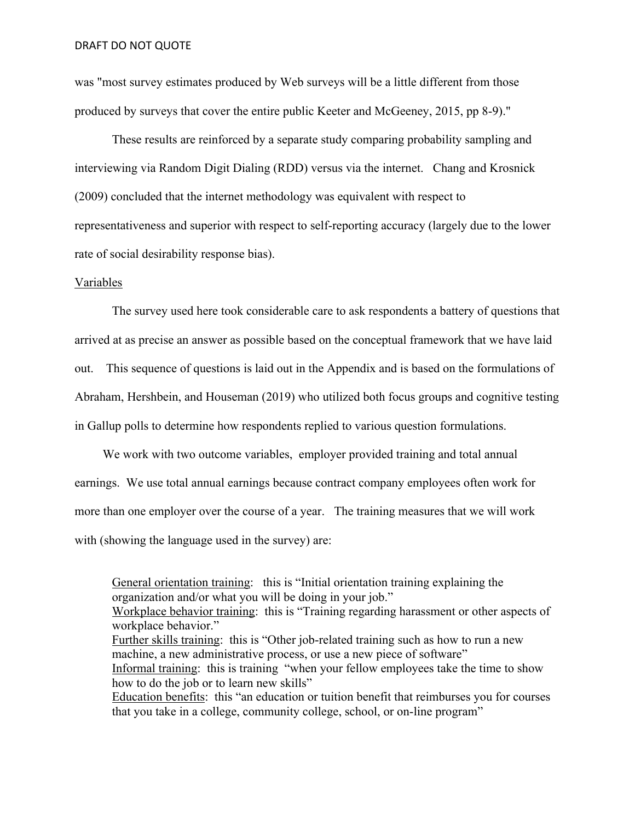was "most survey estimates produced by Web surveys will be a little different from those produced by surveys that cover the entire public Keeter and McGeeney, 2015, pp 8-9)."

These results are reinforced by a separate study comparing probability sampling and interviewing via Random Digit Dialing (RDD) versus via the internet. Chang and Krosnick (2009) concluded that the internet methodology was equivalent with respect to representativeness and superior with respect to self-reporting accuracy (largely due to the lower rate of social desirability response bias).

## Variables

The survey used here took considerable care to ask respondents a battery of questions that arrived at as precise an answer as possible based on the conceptual framework that we have laid out. This sequence of questions is laid out in the Appendix and is based on the formulations of Abraham, Hershbein, and Houseman (2019) who utilized both focus groups and cognitive testing in Gallup polls to determine how respondents replied to various question formulations.

We work with two outcome variables, employer provided training and total annual earnings. We use total annual earnings because contract company employees often work for more than one employer over the course of a year. The training measures that we will work with (showing the language used in the survey) are:

General orientation training: this is "Initial orientation training explaining the organization and/or what you will be doing in your job." Workplace behavior training: this is "Training regarding harassment or other aspects of workplace behavior." Further skills training: this is "Other job-related training such as how to run a new machine, a new administrative process, or use a new piece of software" Informal training: this is training "when your fellow employees take the time to show how to do the job or to learn new skills" Education benefits: this "an education or tuition benefit that reimburses you for courses that you take in a college, community college, school, or on-line program"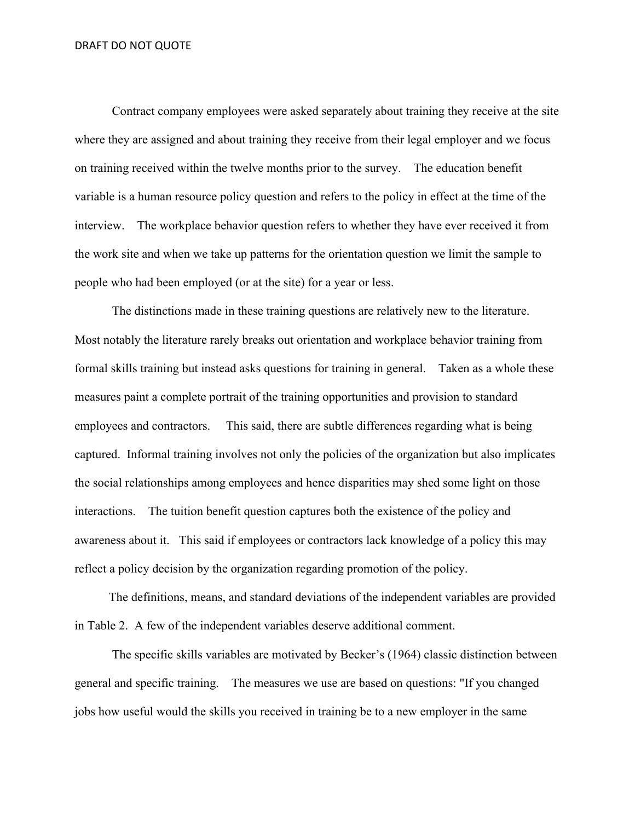Contract company employees were asked separately about training they receive at the site where they are assigned and about training they receive from their legal employer and we focus on training received within the twelve months prior to the survey. The education benefit variable is a human resource policy question and refers to the policy in effect at the time of the interview. The workplace behavior question refers to whether they have ever received it from the work site and when we take up patterns for the orientation question we limit the sample to people who had been employed (or at the site) for a year or less.

The distinctions made in these training questions are relatively new to the literature. Most notably the literature rarely breaks out orientation and workplace behavior training from formal skills training but instead asks questions for training in general. Taken as a whole these measures paint a complete portrait of the training opportunities and provision to standard employees and contractors. This said, there are subtle differences regarding what is being captured. Informal training involves not only the policies of the organization but also implicates the social relationships among employees and hence disparities may shed some light on those interactions. The tuition benefit question captures both the existence of the policy and awareness about it. This said if employees or contractors lack knowledge of a policy this may reflect a policy decision by the organization regarding promotion of the policy.

 The definitions, means, and standard deviations of the independent variables are provided in Table 2. A few of the independent variables deserve additional comment.

The specific skills variables are motivated by Becker's (1964) classic distinction between general and specific training. The measures we use are based on questions: "If you changed jobs how useful would the skills you received in training be to a new employer in the same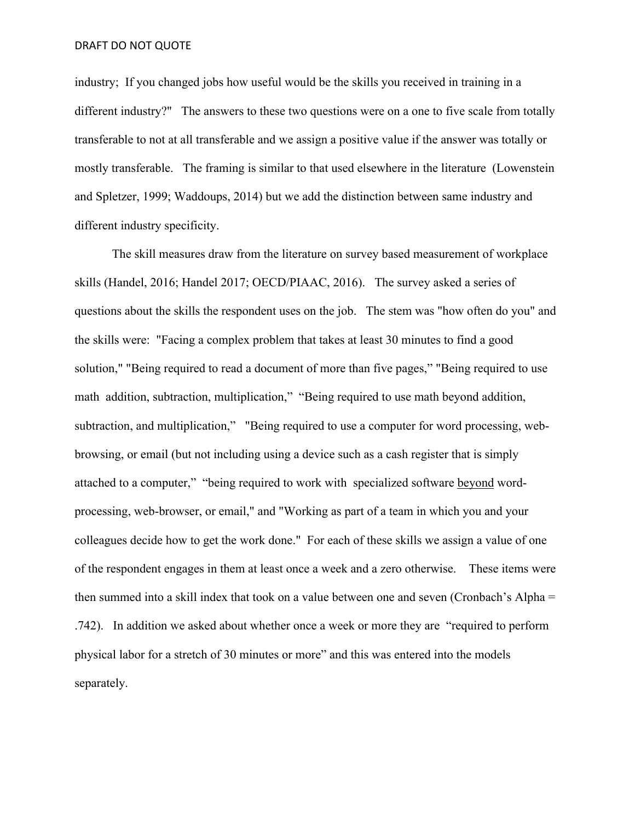industry; If you changed jobs how useful would be the skills you received in training in a different industry?" The answers to these two questions were on a one to five scale from totally transferable to not at all transferable and we assign a positive value if the answer was totally or mostly transferable. The framing is similar to that used elsewhere in the literature (Lowenstein and Spletzer, 1999; Waddoups, 2014) but we add the distinction between same industry and different industry specificity.

The skill measures draw from the literature on survey based measurement of workplace skills (Handel, 2016; Handel 2017; OECD/PIAAC, 2016). The survey asked a series of questions about the skills the respondent uses on the job. The stem was "how often do you" and the skills were: "Facing a complex problem that takes at least 30 minutes to find a good solution," "Being required to read a document of more than five pages," "Being required to use math addition, subtraction, multiplication," "Being required to use math beyond addition, subtraction, and multiplication," "Being required to use a computer for word processing, webbrowsing, or email (but not including using a device such as a cash register that is simply attached to a computer," "being required to work with specialized software beyond wordprocessing, web-browser, or email," and "Working as part of a team in which you and your colleagues decide how to get the work done." For each of these skills we assign a value of one of the respondent engages in them at least once a week and a zero otherwise. These items were then summed into a skill index that took on a value between one and seven (Cronbach's Alpha = .742). In addition we asked about whether once a week or more they are "required to perform physical labor for a stretch of 30 minutes or more" and this was entered into the models separately.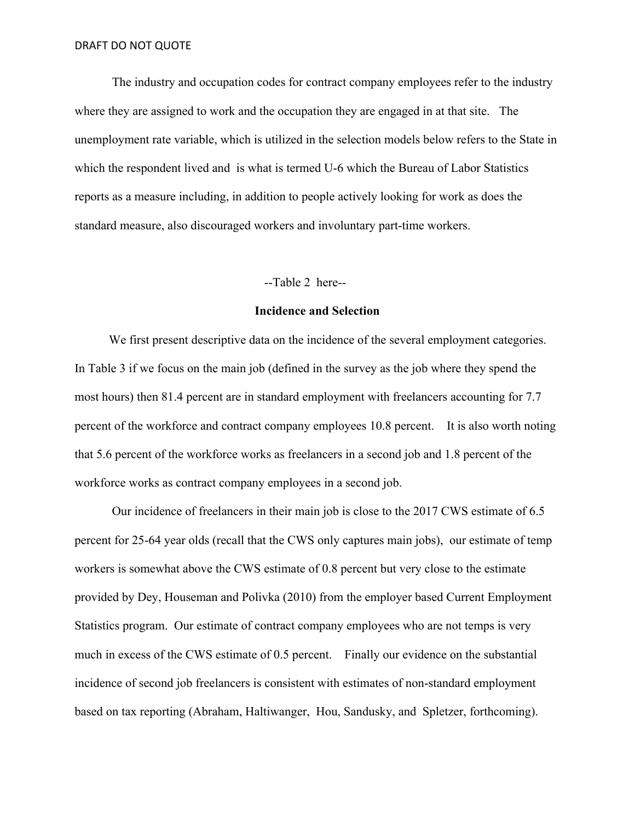The industry and occupation codes for contract company employees refer to the industry where they are assigned to work and the occupation they are engaged in at that site. The unemployment rate variable, which is utilized in the selection models below refers to the State in which the respondent lived and is what is termed U-6 which the Bureau of Labor Statistics reports as a measure including, in addition to people actively looking for work as does the standard measure, also discouraged workers and involuntary part-time workers.

--Table 2 here--

#### **Incidence and Selection**

We first present descriptive data on the incidence of the several employment categories. In Table 3 if we focus on the main job (defined in the survey as the job where they spend the most hours) then 81.4 percent are in standard employment with freelancers accounting for 7.7 percent of the workforce and contract company employees 10.8 percent. It is also worth noting that 5.6 percent of the workforce works as freelancers in a second job and 1.8 percent of the workforce works as contract company employees in a second job.

 Our incidence of freelancers in their main job is close to the 2017 CWS estimate of 6.5 percent for 25-64 year olds (recall that the CWS only captures main jobs), our estimate of temp workers is somewhat above the CWS estimate of 0.8 percent but very close to the estimate provided by Dey, Houseman and Polivka (2010) from the employer based Current Employment Statistics program. Our estimate of contract company employees who are not temps is very much in excess of the CWS estimate of 0.5 percent. Finally our evidence on the substantial incidence of second job freelancers is consistent with estimates of non-standard employment based on tax reporting (Abraham, Haltiwanger, Hou, Sandusky, and Spletzer, forthcoming).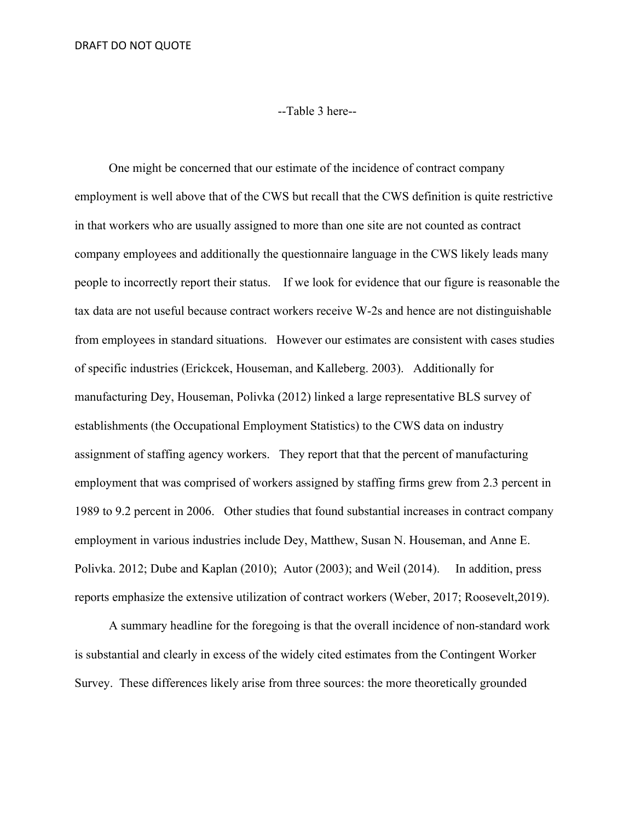# --Table 3 here--

 One might be concerned that our estimate of the incidence of contract company employment is well above that of the CWS but recall that the CWS definition is quite restrictive in that workers who are usually assigned to more than one site are not counted as contract company employees and additionally the questionnaire language in the CWS likely leads many people to incorrectly report their status. If we look for evidence that our figure is reasonable the tax data are not useful because contract workers receive W-2s and hence are not distinguishable from employees in standard situations. However our estimates are consistent with cases studies of specific industries (Erickcek, Houseman, and Kalleberg. 2003). Additionally for manufacturing Dey, Houseman, Polivka (2012) linked a large representative BLS survey of establishments (the Occupational Employment Statistics) to the CWS data on industry assignment of staffing agency workers. They report that that the percent of manufacturing employment that was comprised of workers assigned by staffing firms grew from 2.3 percent in 1989 to 9.2 percent in 2006. Other studies that found substantial increases in contract company employment in various industries include Dey, Matthew, Susan N. Houseman, and Anne E. Polivka. 2012; Dube and Kaplan (2010); Autor (2003); and Weil (2014). In addition, press reports emphasize the extensive utilization of contract workers (Weber, 2017; Roosevelt,2019).

 A summary headline for the foregoing is that the overall incidence of non-standard work is substantial and clearly in excess of the widely cited estimates from the Contingent Worker Survey. These differences likely arise from three sources: the more theoretically grounded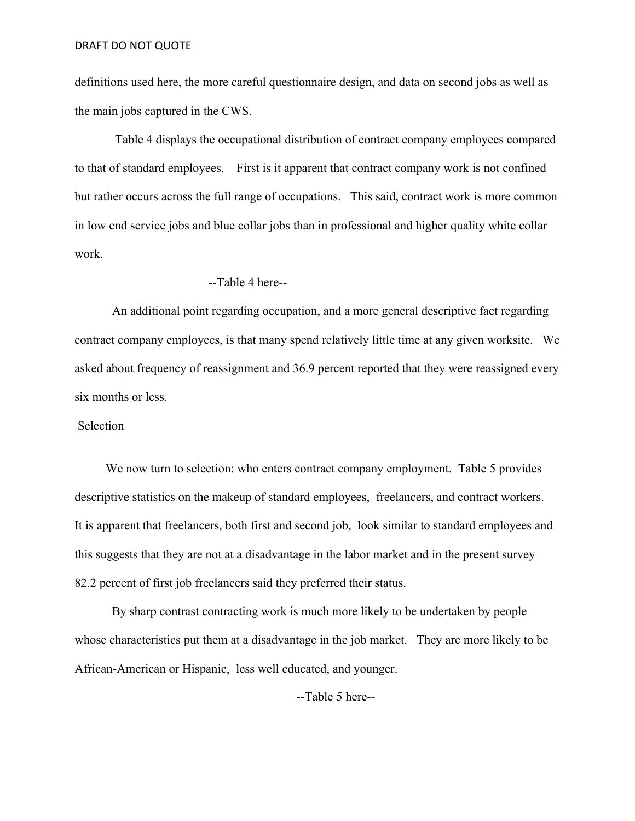definitions used here, the more careful questionnaire design, and data on second jobs as well as the main jobs captured in the CWS.

Table 4 displays the occupational distribution of contract company employees compared to that of standard employees. First is it apparent that contract company work is not confined but rather occurs across the full range of occupations. This said, contract work is more common in low end service jobs and blue collar jobs than in professional and higher quality white collar work.

#### --Table 4 here--

An additional point regarding occupation, and a more general descriptive fact regarding contract company employees, is that many spend relatively little time at any given worksite. We asked about frequency of reassignment and 36.9 percent reported that they were reassigned every six months or less.

## Selection

We now turn to selection: who enters contract company employment. Table 5 provides descriptive statistics on the makeup of standard employees, freelancers, and contract workers. It is apparent that freelancers, both first and second job, look similar to standard employees and this suggests that they are not at a disadvantage in the labor market and in the present survey 82.2 percent of first job freelancers said they preferred their status.

By sharp contrast contracting work is much more likely to be undertaken by people whose characteristics put them at a disadvantage in the job market. They are more likely to be African-American or Hispanic, less well educated, and younger.

--Table 5 here--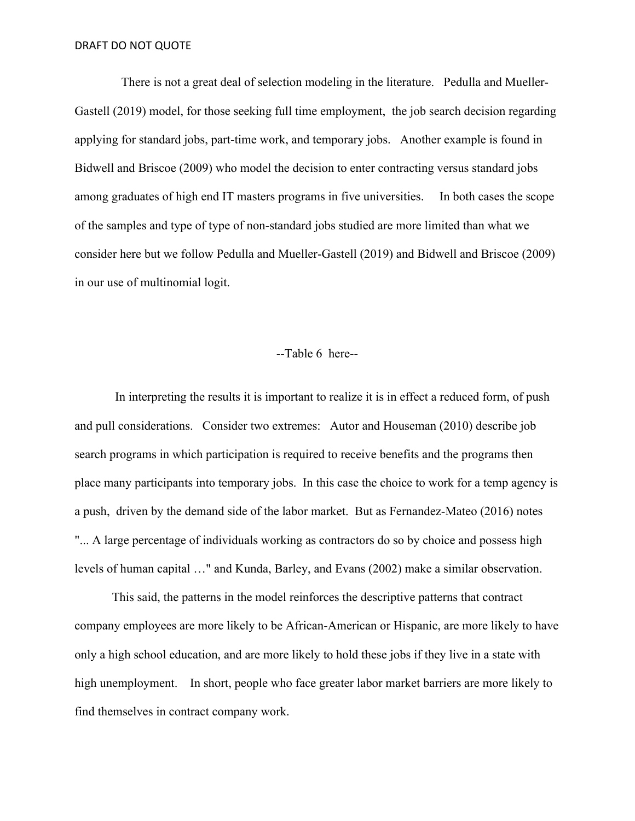There is not a great deal of selection modeling in the literature. Pedulla and Mueller-Gastell (2019) model, for those seeking full time employment, the job search decision regarding applying for standard jobs, part-time work, and temporary jobs. Another example is found in Bidwell and Briscoe (2009) who model the decision to enter contracting versus standard jobs among graduates of high end IT masters programs in five universities. In both cases the scope of the samples and type of type of non-standard jobs studied are more limited than what we consider here but we follow Pedulla and Mueller-Gastell (2019) and Bidwell and Briscoe (2009) in our use of multinomial logit.

# --Table 6 here--

In interpreting the results it is important to realize it is in effect a reduced form, of push and pull considerations. Consider two extremes: Autor and Houseman (2010) describe job search programs in which participation is required to receive benefits and the programs then place many participants into temporary jobs. In this case the choice to work for a temp agency is a push, driven by the demand side of the labor market. But as Fernandez-Mateo (2016) notes "... A large percentage of individuals working as contractors do so by choice and possess high levels of human capital …" and Kunda, Barley, and Evans (2002) make a similar observation.

 This said, the patterns in the model reinforces the descriptive patterns that contract company employees are more likely to be African-American or Hispanic, are more likely to have only a high school education, and are more likely to hold these jobs if they live in a state with high unemployment. In short, people who face greater labor market barriers are more likely to find themselves in contract company work.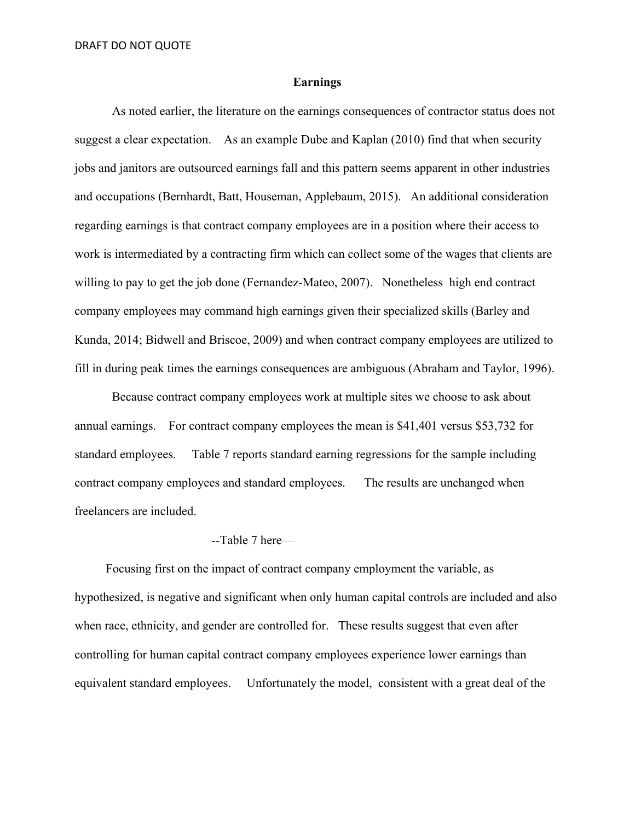## **Earnings**

 As noted earlier, the literature on the earnings consequences of contractor status does not suggest a clear expectation. As an example Dube and Kaplan (2010) find that when security jobs and janitors are outsourced earnings fall and this pattern seems apparent in other industries and occupations (Bernhardt, Batt, Houseman, Applebaum, 2015). An additional consideration regarding earnings is that contract company employees are in a position where their access to work is intermediated by a contracting firm which can collect some of the wages that clients are willing to pay to get the job done (Fernandez-Mateo, 2007). Nonetheless high end contract company employees may command high earnings given their specialized skills (Barley and Kunda, 2014; Bidwell and Briscoe, 2009) and when contract company employees are utilized to fill in during peak times the earnings consequences are ambiguous (Abraham and Taylor, 1996).

Because contract company employees work at multiple sites we choose to ask about annual earnings. For contract company employees the mean is \$41,401 versus \$53,732 for standard employees. Table 7 reports standard earning regressions for the sample including contract company employees and standard employees. The results are unchanged when freelancers are included.

#### --Table 7 here—

 Focusing first on the impact of contract company employment the variable, as hypothesized, is negative and significant when only human capital controls are included and also when race, ethnicity, and gender are controlled for. These results suggest that even after controlling for human capital contract company employees experience lower earnings than equivalent standard employees. Unfortunately the model, consistent with a great deal of the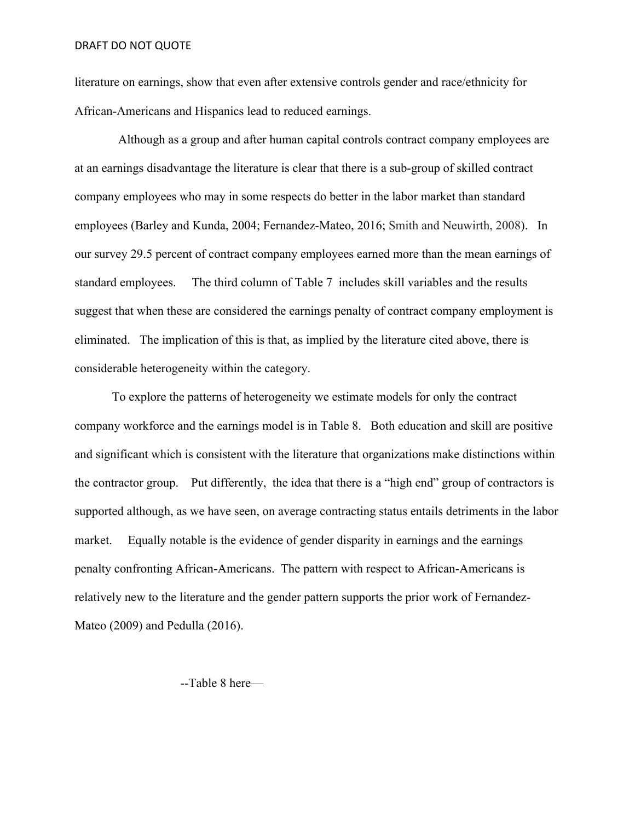literature on earnings, show that even after extensive controls gender and race/ethnicity for African-Americans and Hispanics lead to reduced earnings.

 Although as a group and after human capital controls contract company employees are at an earnings disadvantage the literature is clear that there is a sub-group of skilled contract company employees who may in some respects do better in the labor market than standard employees (Barley and Kunda, 2004; Fernandez-Mateo, 2016; Smith and Neuwirth, 2008). In our survey 29.5 percent of contract company employees earned more than the mean earnings of standard employees. The third column of Table 7 includes skill variables and the results suggest that when these are considered the earnings penalty of contract company employment is eliminated. The implication of this is that, as implied by the literature cited above, there is considerable heterogeneity within the category.

 To explore the patterns of heterogeneity we estimate models for only the contract company workforce and the earnings model is in Table 8. Both education and skill are positive and significant which is consistent with the literature that organizations make distinctions within the contractor group. Put differently, the idea that there is a "high end" group of contractors is supported although, as we have seen, on average contracting status entails detriments in the labor market. Equally notable is the evidence of gender disparity in earnings and the earnings penalty confronting African-Americans. The pattern with respect to African-Americans is relatively new to the literature and the gender pattern supports the prior work of Fernandez-Mateo (2009) and Pedulla (2016).

--Table 8 here—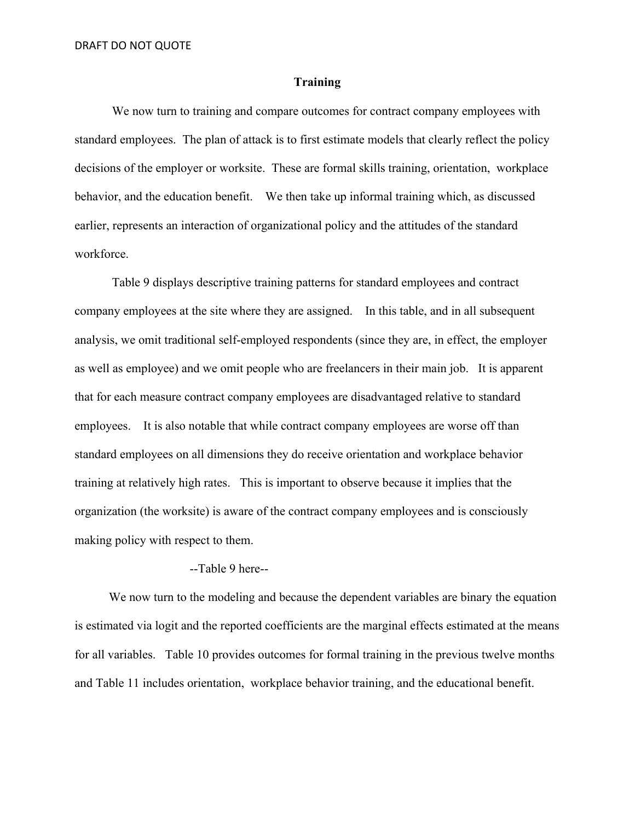## **Training**

 We now turn to training and compare outcomes for contract company employees with standard employees. The plan of attack is to first estimate models that clearly reflect the policy decisions of the employer or worksite. These are formal skills training, orientation, workplace behavior, and the education benefit. We then take up informal training which, as discussed earlier, represents an interaction of organizational policy and the attitudes of the standard workforce.

 Table 9 displays descriptive training patterns for standard employees and contract company employees at the site where they are assigned. In this table, and in all subsequent analysis, we omit traditional self-employed respondents (since they are, in effect, the employer as well as employee) and we omit people who are freelancers in their main job. It is apparent that for each measure contract company employees are disadvantaged relative to standard employees. It is also notable that while contract company employees are worse off than standard employees on all dimensions they do receive orientation and workplace behavior training at relatively high rates. This is important to observe because it implies that the organization (the worksite) is aware of the contract company employees and is consciously making policy with respect to them.

# --Table 9 here--

We now turn to the modeling and because the dependent variables are binary the equation is estimated via logit and the reported coefficients are the marginal effects estimated at the means for all variables. Table 10 provides outcomes for formal training in the previous twelve months and Table 11 includes orientation, workplace behavior training, and the educational benefit.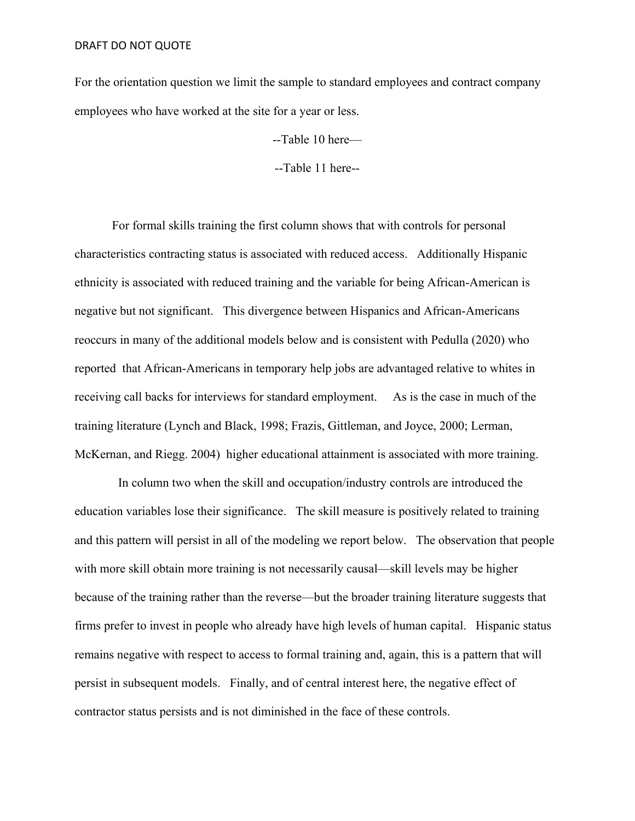For the orientation question we limit the sample to standard employees and contract company employees who have worked at the site for a year or less.

--Table 10 here—

--Table 11 here--

For formal skills training the first column shows that with controls for personal characteristics contracting status is associated with reduced access. Additionally Hispanic ethnicity is associated with reduced training and the variable for being African-American is negative but not significant. This divergence between Hispanics and African-Americans reoccurs in many of the additional models below and is consistent with Pedulla (2020) who reported that African-Americans in temporary help jobs are advantaged relative to whites in receiving call backs for interviews for standard employment. As is the case in much of the training literature (Lynch and Black, 1998; Frazis, Gittleman, and Joyce, 2000; Lerman, McKernan, and Riegg. 2004) higher educational attainment is associated with more training.

 In column two when the skill and occupation/industry controls are introduced the education variables lose their significance. The skill measure is positively related to training and this pattern will persist in all of the modeling we report below. The observation that people with more skill obtain more training is not necessarily causal—skill levels may be higher because of the training rather than the reverse—but the broader training literature suggests that firms prefer to invest in people who already have high levels of human capital. Hispanic status remains negative with respect to access to formal training and, again, this is a pattern that will persist in subsequent models. Finally, and of central interest here, the negative effect of contractor status persists and is not diminished in the face of these controls.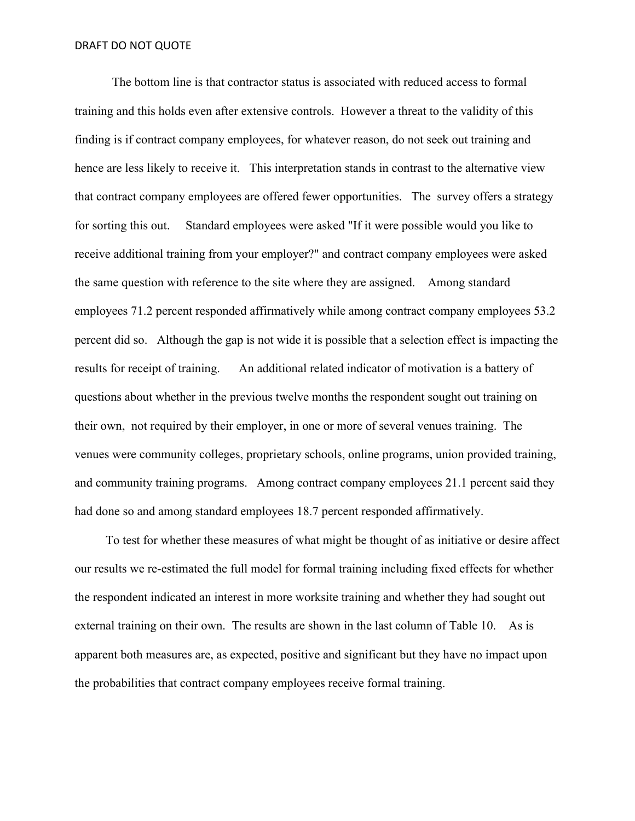The bottom line is that contractor status is associated with reduced access to formal training and this holds even after extensive controls. However a threat to the validity of this finding is if contract company employees, for whatever reason, do not seek out training and hence are less likely to receive it. This interpretation stands in contrast to the alternative view that contract company employees are offered fewer opportunities. The survey offers a strategy for sorting this out. Standard employees were asked "If it were possible would you like to receive additional training from your employer?" and contract company employees were asked the same question with reference to the site where they are assigned. Among standard employees 71.2 percent responded affirmatively while among contract company employees 53.2 percent did so. Although the gap is not wide it is possible that a selection effect is impacting the results for receipt of training. An additional related indicator of motivation is a battery of questions about whether in the previous twelve months the respondent sought out training on their own, not required by their employer, in one or more of several venues training. The venues were community colleges, proprietary schools, online programs, union provided training, and community training programs. Among contract company employees 21.1 percent said they had done so and among standard employees 18.7 percent responded affirmatively.

 To test for whether these measures of what might be thought of as initiative or desire affect our results we re-estimated the full model for formal training including fixed effects for whether the respondent indicated an interest in more worksite training and whether they had sought out external training on their own. The results are shown in the last column of Table 10. As is apparent both measures are, as expected, positive and significant but they have no impact upon the probabilities that contract company employees receive formal training.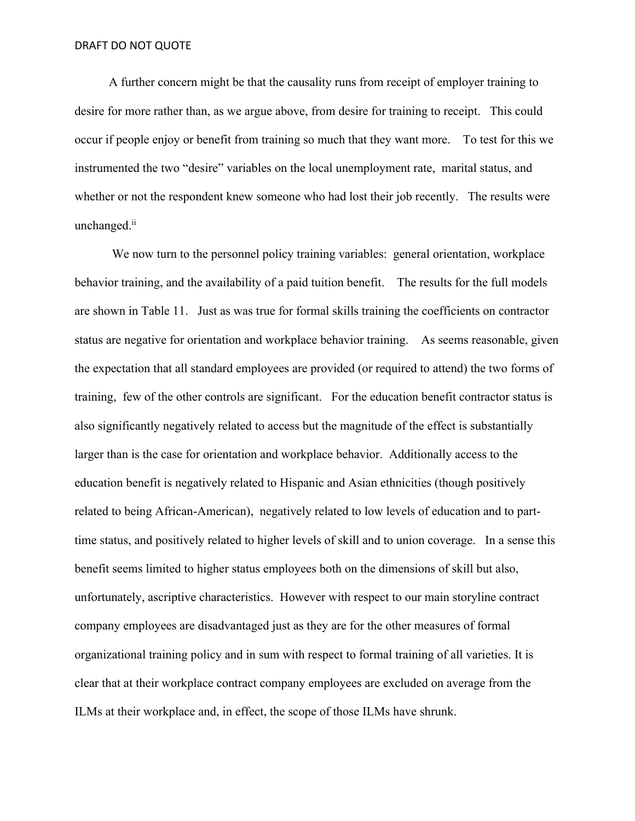A further concern might be that the causality runs from receipt of employer training to desire for more rather than, as we argue above, from desire for training to receipt. This could occur if people enjoy or benefit from training so much that they want more. To test for this we instrumented the two "desire" variables on the local unemployment rate, marital status, and whether or not the respondent knew someone who had lost their job recently. The results were unchanged.<sup>ii</sup>

We now turn to the personnel policy training variables: general orientation, workplace behavior training, and the availability of a paid tuition benefit. The results for the full models are shown in Table 11. Just as was true for formal skills training the coefficients on contractor status are negative for orientation and workplace behavior training. As seems reasonable, given the expectation that all standard employees are provided (or required to attend) the two forms of training, few of the other controls are significant. For the education benefit contractor status is also significantly negatively related to access but the magnitude of the effect is substantially larger than is the case for orientation and workplace behavior. Additionally access to the education benefit is negatively related to Hispanic and Asian ethnicities (though positively related to being African-American), negatively related to low levels of education and to parttime status, and positively related to higher levels of skill and to union coverage. In a sense this benefit seems limited to higher status employees both on the dimensions of skill but also, unfortunately, ascriptive characteristics. However with respect to our main storyline contract company employees are disadvantaged just as they are for the other measures of formal organizational training policy and in sum with respect to formal training of all varieties. It is clear that at their workplace contract company employees are excluded on average from the ILMs at their workplace and, in effect, the scope of those ILMs have shrunk.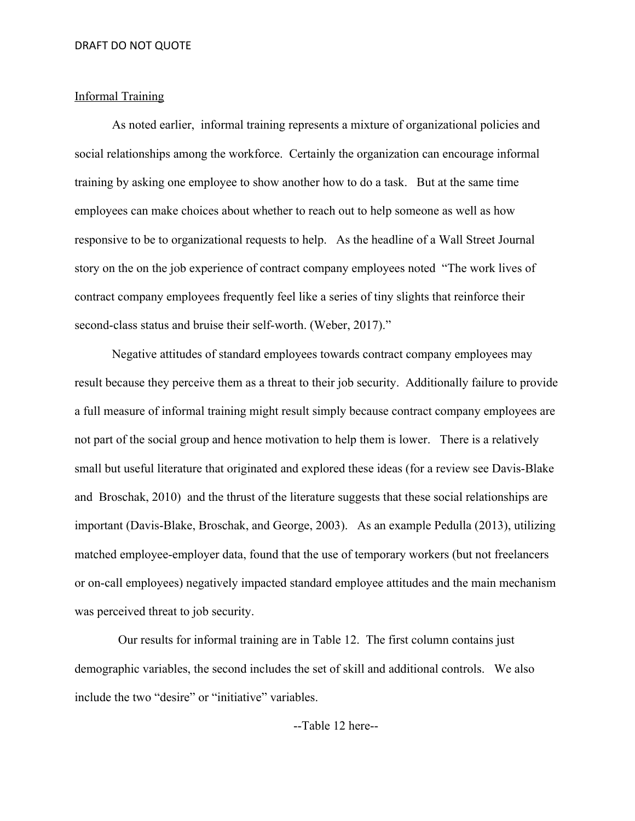# Informal Training

 As noted earlier, informal training represents a mixture of organizational policies and social relationships among the workforce. Certainly the organization can encourage informal training by asking one employee to show another how to do a task. But at the same time employees can make choices about whether to reach out to help someone as well as how responsive to be to organizational requests to help. As the headline of a Wall Street Journal story on the on the job experience of contract company employees noted "The work lives of contract company employees frequently feel like a series of tiny slights that reinforce their second-class status and bruise their self-worth. (Weber, 2017)."

Negative attitudes of standard employees towards contract company employees may result because they perceive them as a threat to their job security. Additionally failure to provide a full measure of informal training might result simply because contract company employees are not part of the social group and hence motivation to help them is lower. There is a relatively small but useful literature that originated and explored these ideas (for a review see Davis-Blake and Broschak, 2010) and the thrust of the literature suggests that these social relationships are important (Davis-Blake, Broschak, and George, 2003). As an example Pedulla (2013), utilizing matched employee-employer data, found that the use of temporary workers (but not freelancers or on-call employees) negatively impacted standard employee attitudes and the main mechanism was perceived threat to job security.

 Our results for informal training are in Table 12. The first column contains just demographic variables, the second includes the set of skill and additional controls. We also include the two "desire" or "initiative" variables.

# --Table 12 here--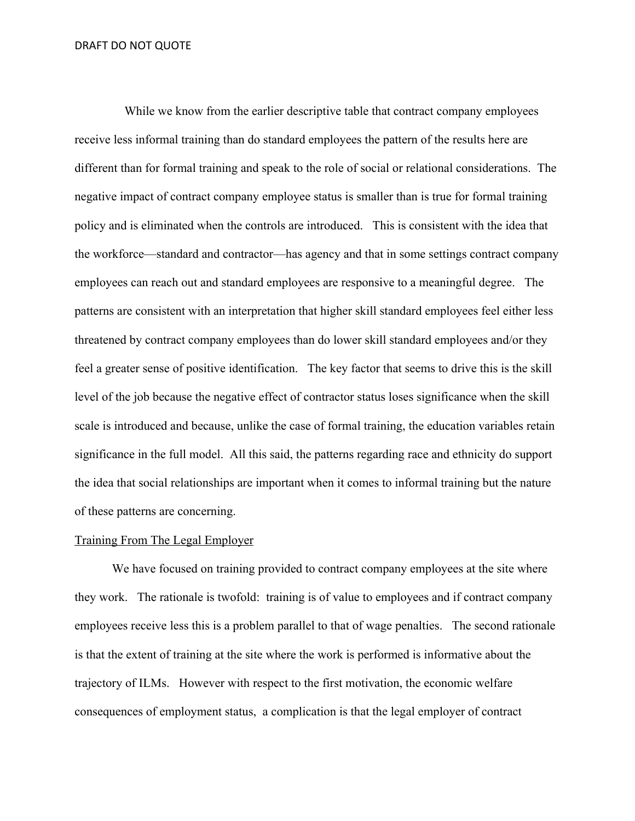While we know from the earlier descriptive table that contract company employees receive less informal training than do standard employees the pattern of the results here are different than for formal training and speak to the role of social or relational considerations. The negative impact of contract company employee status is smaller than is true for formal training policy and is eliminated when the controls are introduced. This is consistent with the idea that the workforce—standard and contractor—has agency and that in some settings contract company employees can reach out and standard employees are responsive to a meaningful degree. The patterns are consistent with an interpretation that higher skill standard employees feel either less threatened by contract company employees than do lower skill standard employees and/or they feel a greater sense of positive identification. The key factor that seems to drive this is the skill level of the job because the negative effect of contractor status loses significance when the skill scale is introduced and because, unlike the case of formal training, the education variables retain significance in the full model. All this said, the patterns regarding race and ethnicity do support the idea that social relationships are important when it comes to informal training but the nature of these patterns are concerning.

#### Training From The Legal Employer

We have focused on training provided to contract company employees at the site where they work. The rationale is twofold: training is of value to employees and if contract company employees receive less this is a problem parallel to that of wage penalties. The second rationale is that the extent of training at the site where the work is performed is informative about the trajectory of ILMs. However with respect to the first motivation, the economic welfare consequences of employment status, a complication is that the legal employer of contract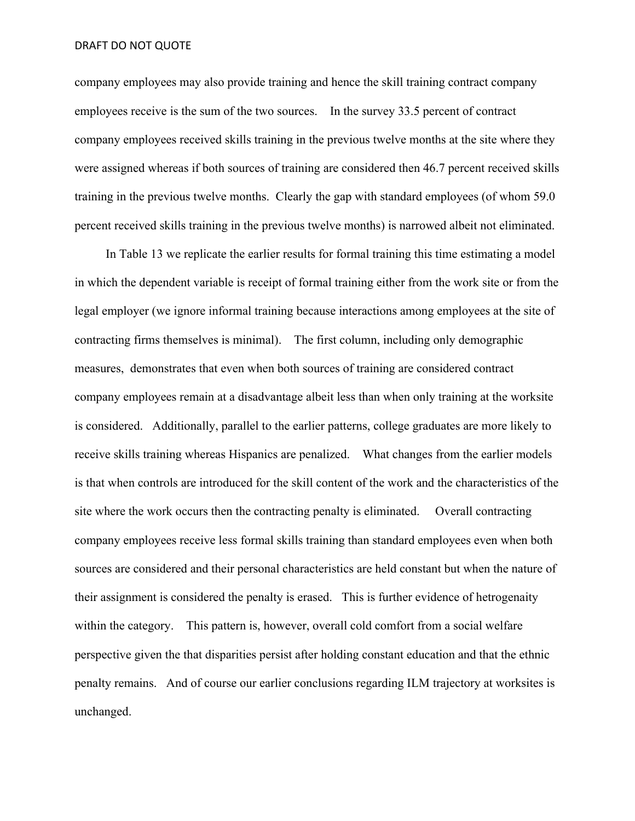company employees may also provide training and hence the skill training contract company employees receive is the sum of the two sources. In the survey 33.5 percent of contract company employees received skills training in the previous twelve months at the site where they were assigned whereas if both sources of training are considered then 46.7 percent received skills training in the previous twelve months. Clearly the gap with standard employees (of whom 59.0 percent received skills training in the previous twelve months) is narrowed albeit not eliminated.

 In Table 13 we replicate the earlier results for formal training this time estimating a model in which the dependent variable is receipt of formal training either from the work site or from the legal employer (we ignore informal training because interactions among employees at the site of contracting firms themselves is minimal). The first column, including only demographic measures, demonstrates that even when both sources of training are considered contract company employees remain at a disadvantage albeit less than when only training at the worksite is considered. Additionally, parallel to the earlier patterns, college graduates are more likely to receive skills training whereas Hispanics are penalized. What changes from the earlier models is that when controls are introduced for the skill content of the work and the characteristics of the site where the work occurs then the contracting penalty is eliminated. Overall contracting company employees receive less formal skills training than standard employees even when both sources are considered and their personal characteristics are held constant but when the nature of their assignment is considered the penalty is erased. This is further evidence of hetrogenaity within the category. This pattern is, however, overall cold comfort from a social welfare perspective given the that disparities persist after holding constant education and that the ethnic penalty remains. And of course our earlier conclusions regarding ILM trajectory at worksites is unchanged.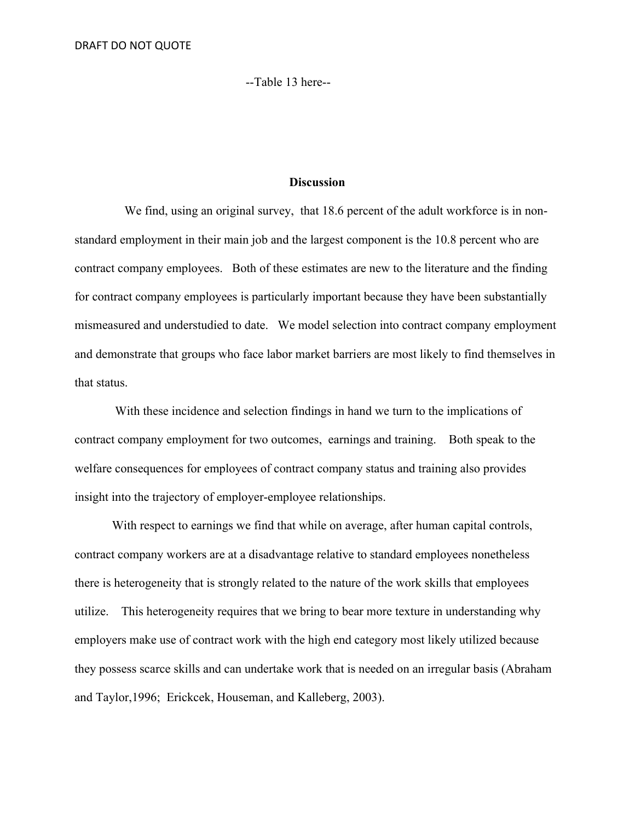--Table 13 here--

# **Discussion**

We find, using an original survey, that 18.6 percent of the adult workforce is in nonstandard employment in their main job and the largest component is the 10.8 percent who are contract company employees. Both of these estimates are new to the literature and the finding for contract company employees is particularly important because they have been substantially mismeasured and understudied to date. We model selection into contract company employment and demonstrate that groups who face labor market barriers are most likely to find themselves in that status.

 With these incidence and selection findings in hand we turn to the implications of contract company employment for two outcomes, earnings and training. Both speak to the welfare consequences for employees of contract company status and training also provides insight into the trajectory of employer-employee relationships.

With respect to earnings we find that while on average, after human capital controls, contract company workers are at a disadvantage relative to standard employees nonetheless there is heterogeneity that is strongly related to the nature of the work skills that employees utilize. This heterogeneity requires that we bring to bear more texture in understanding why employers make use of contract work with the high end category most likely utilized because they possess scarce skills and can undertake work that is needed on an irregular basis (Abraham and Taylor,1996; Erickcek, Houseman, and Kalleberg, 2003).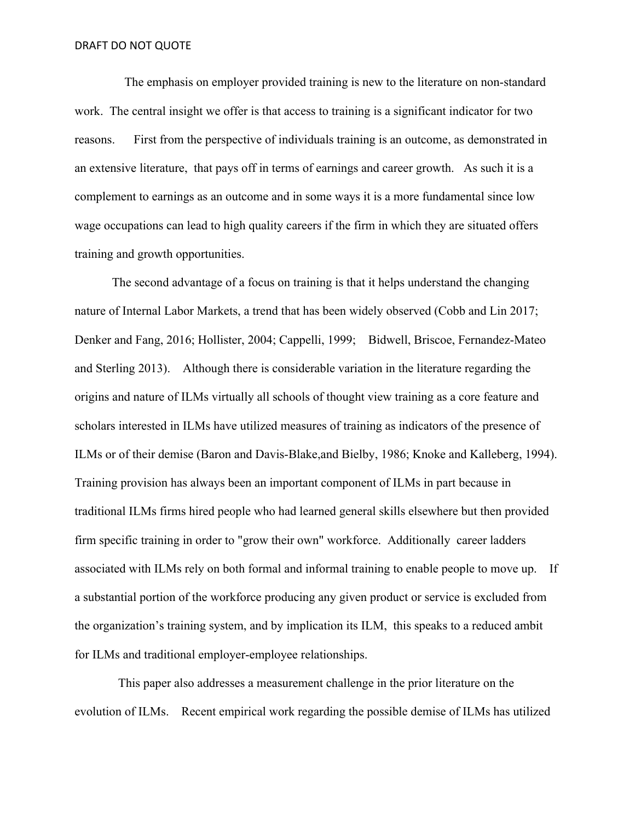The emphasis on employer provided training is new to the literature on non-standard work. The central insight we offer is that access to training is a significant indicator for two reasons. First from the perspective of individuals training is an outcome, as demonstrated in an extensive literature, that pays off in terms of earnings and career growth. As such it is a complement to earnings as an outcome and in some ways it is a more fundamental since low wage occupations can lead to high quality careers if the firm in which they are situated offers training and growth opportunities.

The second advantage of a focus on training is that it helps understand the changing nature of Internal Labor Markets, a trend that has been widely observed (Cobb and Lin 2017; Denker and Fang, 2016; Hollister, 2004; Cappelli, 1999; Bidwell, Briscoe, Fernandez-Mateo and Sterling 2013). Although there is considerable variation in the literature regarding the origins and nature of ILMs virtually all schools of thought view training as a core feature and scholars interested in ILMs have utilized measures of training as indicators of the presence of ILMs or of their demise (Baron and Davis-Blake,and Bielby, 1986; Knoke and Kalleberg, 1994). Training provision has always been an important component of ILMs in part because in traditional ILMs firms hired people who had learned general skills elsewhere but then provided firm specific training in order to "grow their own" workforce. Additionally career ladders associated with ILMs rely on both formal and informal training to enable people to move up. If a substantial portion of the workforce producing any given product or service is excluded from the organization's training system, and by implication its ILM, this speaks to a reduced ambit for ILMs and traditional employer-employee relationships.

 This paper also addresses a measurement challenge in the prior literature on the evolution of ILMs. Recent empirical work regarding the possible demise of ILMs has utilized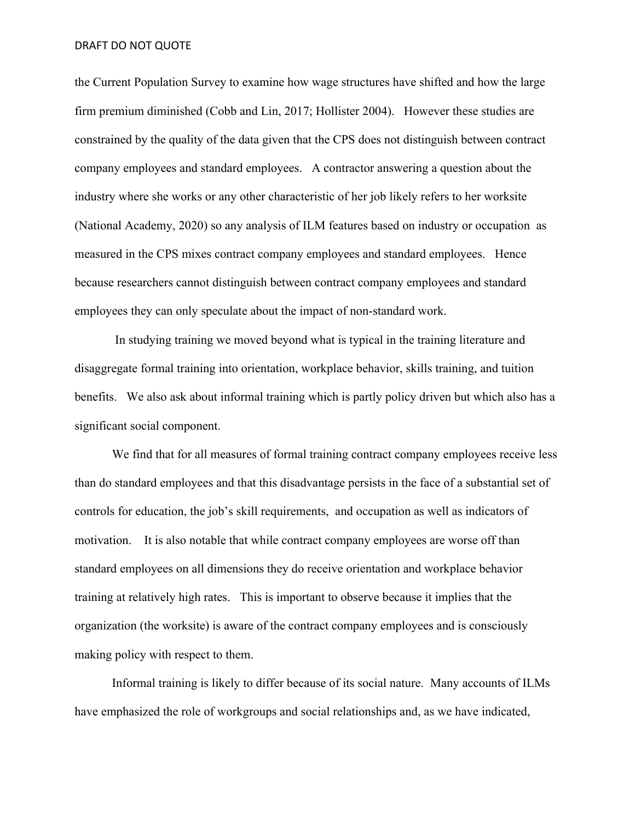the Current Population Survey to examine how wage structures have shifted and how the large firm premium diminished (Cobb and Lin, 2017; Hollister 2004). However these studies are constrained by the quality of the data given that the CPS does not distinguish between contract company employees and standard employees. A contractor answering a question about the industry where she works or any other characteristic of her job likely refers to her worksite (National Academy, 2020) so any analysis of ILM features based on industry or occupation as measured in the CPS mixes contract company employees and standard employees. Hence because researchers cannot distinguish between contract company employees and standard employees they can only speculate about the impact of non-standard work.

 In studying training we moved beyond what is typical in the training literature and disaggregate formal training into orientation, workplace behavior, skills training, and tuition benefits. We also ask about informal training which is partly policy driven but which also has a significant social component.

We find that for all measures of formal training contract company employees receive less than do standard employees and that this disadvantage persists in the face of a substantial set of controls for education, the job's skill requirements, and occupation as well as indicators of motivation. It is also notable that while contract company employees are worse off than standard employees on all dimensions they do receive orientation and workplace behavior training at relatively high rates. This is important to observe because it implies that the organization (the worksite) is aware of the contract company employees and is consciously making policy with respect to them.

 Informal training is likely to differ because of its social nature. Many accounts of ILMs have emphasized the role of workgroups and social relationships and, as we have indicated,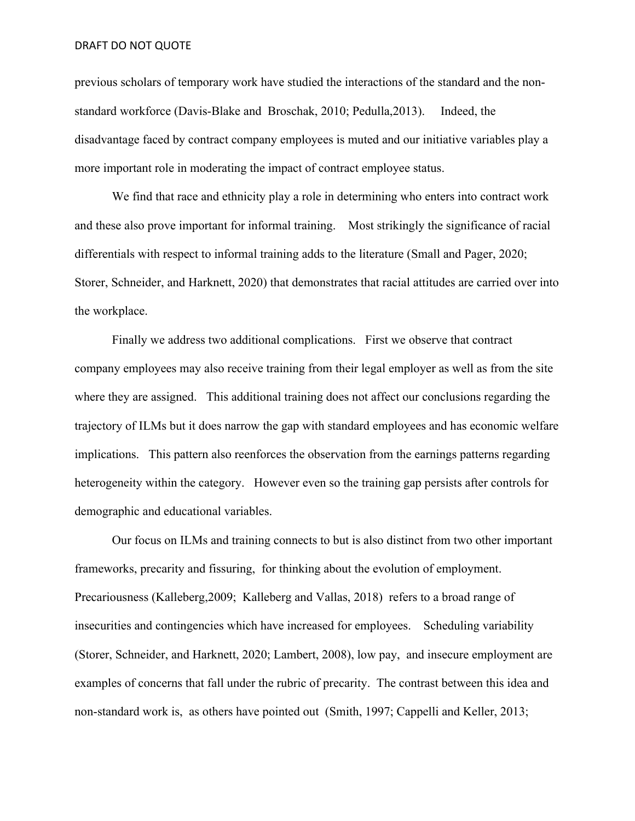previous scholars of temporary work have studied the interactions of the standard and the nonstandard workforce (Davis-Blake and Broschak, 2010; Pedulla,2013). Indeed, the disadvantage faced by contract company employees is muted and our initiative variables play a more important role in moderating the impact of contract employee status.

We find that race and ethnicity play a role in determining who enters into contract work and these also prove important for informal training. Most strikingly the significance of racial differentials with respect to informal training adds to the literature (Small and Pager, 2020; Storer, Schneider, and Harknett, 2020) that demonstrates that racial attitudes are carried over into the workplace.

Finally we address two additional complications. First we observe that contract company employees may also receive training from their legal employer as well as from the site where they are assigned. This additional training does not affect our conclusions regarding the trajectory of ILMs but it does narrow the gap with standard employees and has economic welfare implications. This pattern also reenforces the observation from the earnings patterns regarding heterogeneity within the category. However even so the training gap persists after controls for demographic and educational variables.

Our focus on ILMs and training connects to but is also distinct from two other important frameworks, precarity and fissuring, for thinking about the evolution of employment. Precariousness (Kalleberg,2009; Kalleberg and Vallas, 2018) refers to a broad range of insecurities and contingencies which have increased for employees. Scheduling variability (Storer, Schneider, and Harknett, 2020; Lambert, 2008), low pay, and insecure employment are examples of concerns that fall under the rubric of precarity. The contrast between this idea and non-standard work is, as others have pointed out (Smith, 1997; Cappelli and Keller, 2013;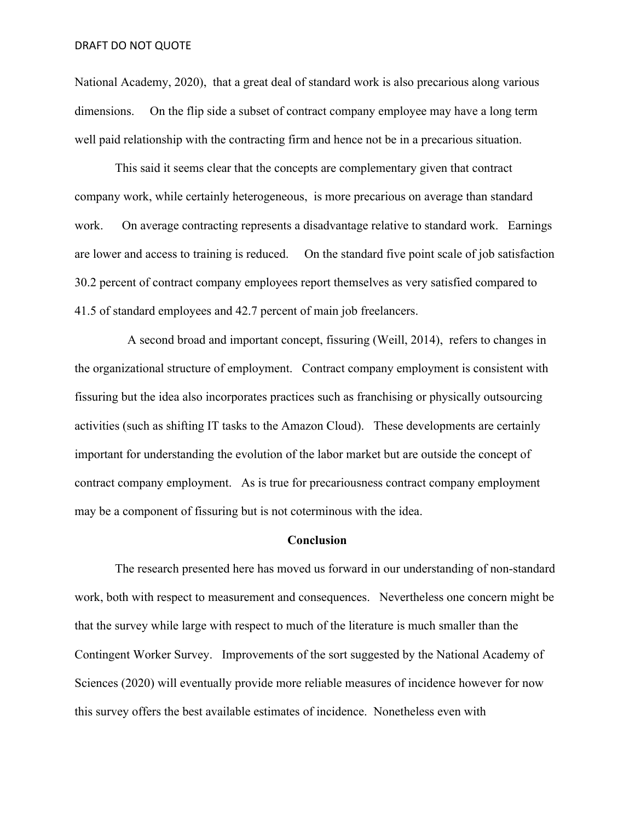National Academy, 2020), that a great deal of standard work is also precarious along various dimensions. On the flip side a subset of contract company employee may have a long term well paid relationship with the contracting firm and hence not be in a precarious situation.

 This said it seems clear that the concepts are complementary given that contract company work, while certainly heterogeneous, is more precarious on average than standard work. On average contracting represents a disadvantage relative to standard work. Earnings are lower and access to training is reduced. On the standard five point scale of job satisfaction 30.2 percent of contract company employees report themselves as very satisfied compared to 41.5 of standard employees and 42.7 percent of main job freelancers.

 A second broad and important concept, fissuring (Weill, 2014), refers to changes in the organizational structure of employment. Contract company employment is consistent with fissuring but the idea also incorporates practices such as franchising or physically outsourcing activities (such as shifting IT tasks to the Amazon Cloud). These developments are certainly important for understanding the evolution of the labor market but are outside the concept of contract company employment. As is true for precariousness contract company employment may be a component of fissuring but is not coterminous with the idea.

#### **Conclusion**

 The research presented here has moved us forward in our understanding of non-standard work, both with respect to measurement and consequences. Nevertheless one concern might be that the survey while large with respect to much of the literature is much smaller than the Contingent Worker Survey. Improvements of the sort suggested by the National Academy of Sciences (2020) will eventually provide more reliable measures of incidence however for now this survey offers the best available estimates of incidence. Nonetheless even with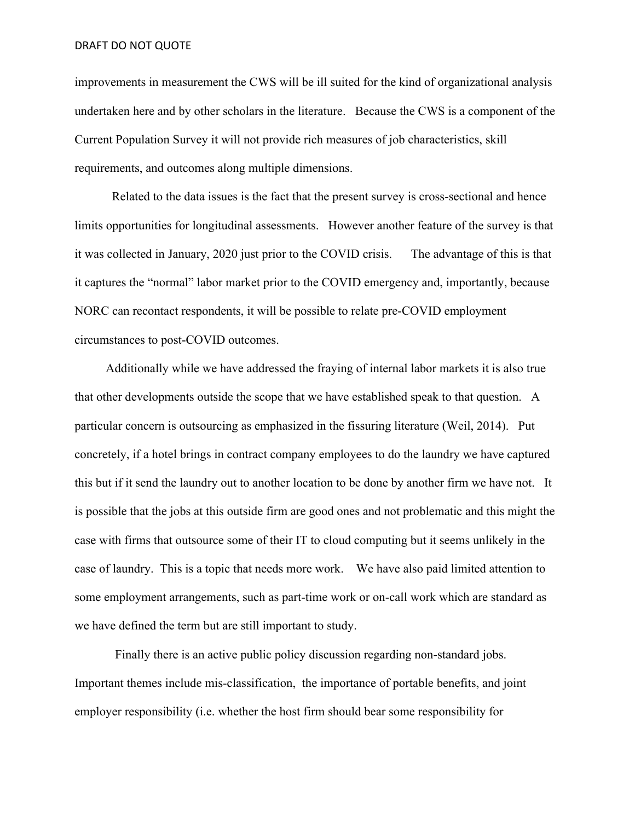improvements in measurement the CWS will be ill suited for the kind of organizational analysis undertaken here and by other scholars in the literature. Because the CWS is a component of the Current Population Survey it will not provide rich measures of job characteristics, skill requirements, and outcomes along multiple dimensions.

Related to the data issues is the fact that the present survey is cross-sectional and hence limits opportunities for longitudinal assessments. However another feature of the survey is that it was collected in January, 2020 just prior to the COVID crisis. The advantage of this is that it captures the "normal" labor market prior to the COVID emergency and, importantly, because NORC can recontact respondents, it will be possible to relate pre-COVID employment circumstances to post-COVID outcomes.

 Additionally while we have addressed the fraying of internal labor markets it is also true that other developments outside the scope that we have established speak to that question. A particular concern is outsourcing as emphasized in the fissuring literature (Weil, 2014). Put concretely, if a hotel brings in contract company employees to do the laundry we have captured this but if it send the laundry out to another location to be done by another firm we have not. It is possible that the jobs at this outside firm are good ones and not problematic and this might the case with firms that outsource some of their IT to cloud computing but it seems unlikely in the case of laundry. This is a topic that needs more work. We have also paid limited attention to some employment arrangements, such as part-time work or on-call work which are standard as we have defined the term but are still important to study.

 Finally there is an active public policy discussion regarding non-standard jobs. Important themes include mis-classification, the importance of portable benefits, and joint employer responsibility (i.e. whether the host firm should bear some responsibility for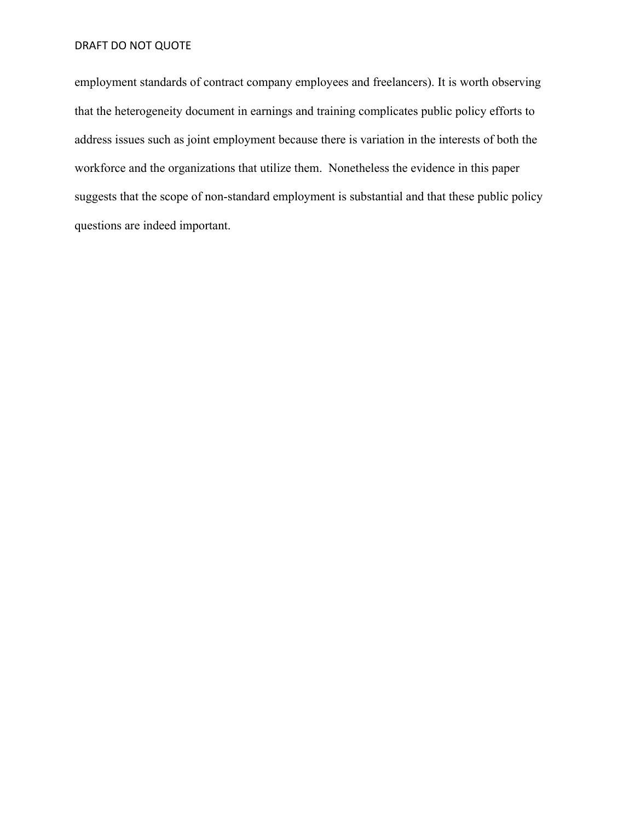employment standards of contract company employees and freelancers). It is worth observing that the heterogeneity document in earnings and training complicates public policy efforts to address issues such as joint employment because there is variation in the interests of both the workforce and the organizations that utilize them. Nonetheless the evidence in this paper suggests that the scope of non-standard employment is substantial and that these public policy questions are indeed important.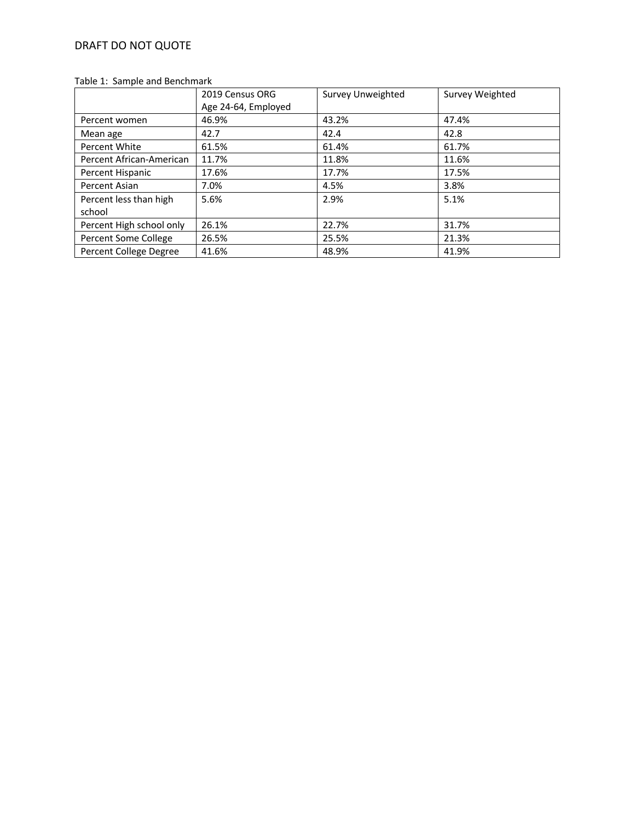## Table 1: Sample and Benchmark

|                          | 2019 Census ORG<br>Age 24-64, Employed | Survey Unweighted | Survey Weighted |
|--------------------------|----------------------------------------|-------------------|-----------------|
| Percent women            | 46.9%                                  | 43.2%             | 47.4%           |
| Mean age                 | 42.7                                   | 42.4              | 42.8            |
| Percent White            | 61.5%                                  | 61.4%             | 61.7%           |
| Percent African-American | 11.7%                                  | 11.8%             | 11.6%           |
| Percent Hispanic         | 17.6%                                  | 17.7%             | 17.5%           |
| Percent Asian            | 7.0%                                   | 4.5%              | 3.8%            |
| Percent less than high   | 5.6%                                   | 2.9%              | 5.1%            |
| school                   |                                        |                   |                 |
| Percent High school only | 26.1%                                  | 22.7%             | 31.7%           |
| Percent Some College     | 26.5%                                  | 25.5%             | 21.3%           |
| Percent College Degree   | 41.6%                                  | 48.9%             | 41.9%           |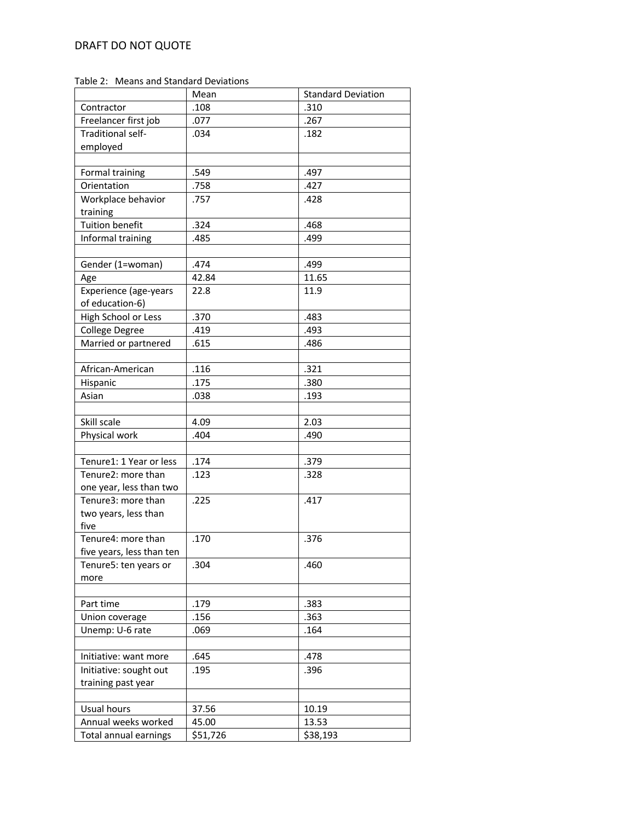Table 2: Means and Standard Deviations

|                           | Mean     | <b>Standard Deviation</b> |
|---------------------------|----------|---------------------------|
| Contractor                | .108     | .310                      |
| Freelancer first job      | .077     | .267                      |
| Traditional self-         | .034     | .182                      |
| employed                  |          |                           |
|                           |          |                           |
| Formal training           | .549     | .497                      |
| Orientation               | .758     | .427                      |
| Workplace behavior        | .757     | .428                      |
| training                  |          |                           |
| <b>Tuition benefit</b>    | .324     | .468                      |
| Informal training         | .485     | .499                      |
|                           |          |                           |
| Gender (1=woman)          | .474     | .499                      |
| Age                       | 42.84    | 11.65                     |
| Experience (age-years     | 22.8     | 11.9                      |
| of education-6)           |          |                           |
| High School or Less       | .370     | .483                      |
| College Degree            | .419     | .493                      |
| Married or partnered      | .615     | .486                      |
|                           |          |                           |
| African-American          | .116     | .321                      |
| Hispanic                  | .175     | .380                      |
| Asian                     | .038     | .193                      |
|                           |          |                           |
| Skill scale               | 4.09     | 2.03                      |
| Physical work             | .404     | .490                      |
|                           |          |                           |
| Tenure1: 1 Year or less   | .174     | .379                      |
| Tenure2: more than        | .123     | .328                      |
| one year, less than two   |          |                           |
| Tenure3: more than        | .225     | .417                      |
| two years, less than      |          |                           |
| five                      |          |                           |
| Tenure4: more than        | .170     | .376                      |
| five years, less than ten |          |                           |
| Tenure5: ten years or     | .304     | .460                      |
| more                      |          |                           |
|                           |          |                           |
| Part time                 | .179     | .383                      |
| Union coverage            | .156     | .363                      |
| Unemp: U-6 rate           | .069     | .164                      |
|                           |          |                           |
| Initiative: want more     | .645     | .478                      |
| Initiative: sought out    | .195     | .396                      |
| training past year        |          |                           |
|                           |          |                           |
| Usual hours               | 37.56    | 10.19                     |
| Annual weeks worked       | 45.00    | 13.53                     |
| Total annual earnings     | \$51,726 | \$38,193                  |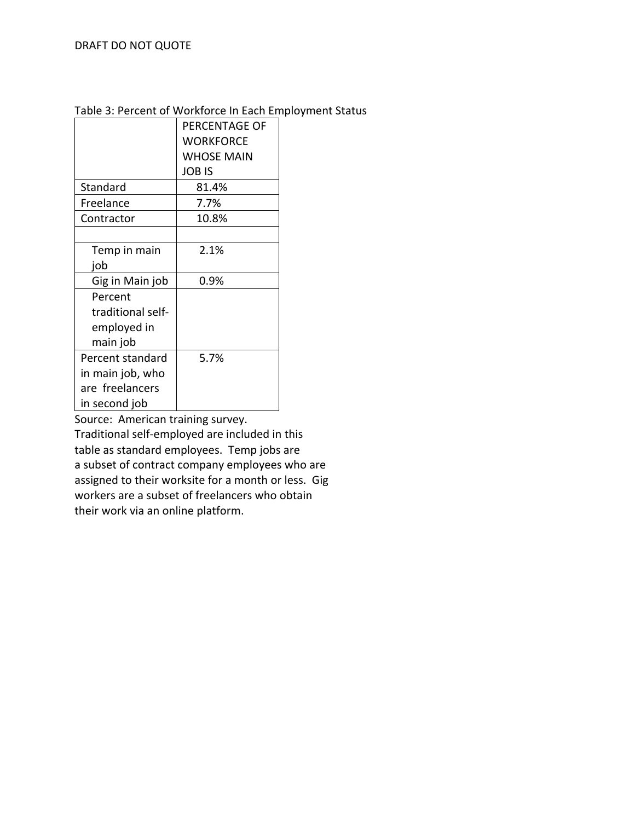# Table 3: Percent of Workforce In Each Employment Status

|                   | PERCENTAGE OF     |
|-------------------|-------------------|
|                   | WORKFORCE         |
|                   | <b>WHOSE MAIN</b> |
|                   | JOB IS            |
| Standard          | 81.4%             |
| Freelance         | 7.7%              |
| Contractor        | 10.8%             |
|                   |                   |
| Temp in main      | 2.1%              |
| job               |                   |
| Gig in Main job   | 0.9%              |
| Percent           |                   |
| traditional self- |                   |
| employed in       |                   |
| main job          |                   |
| Percent standard  | 5.7%              |
| in main job, who  |                   |
| are freelancers   |                   |
| in second job     |                   |

Source: American training survey.

Traditional self-employed are included in this table as standard employees. Temp jobs are a subset of contract company employees who are assigned to their worksite for a month or less. Gig workers are a subset of freelancers who obtain their work via an online platform.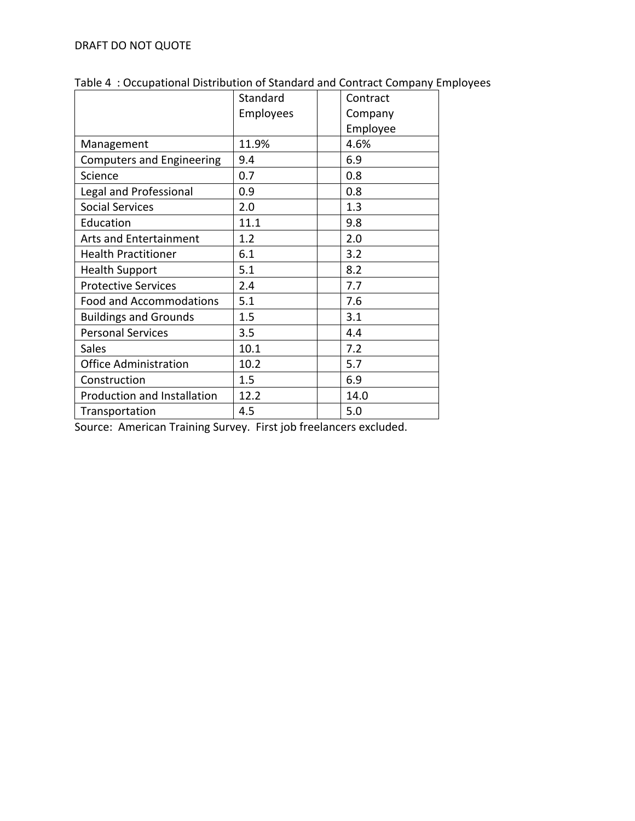|                                  | Standard  | Contract |
|----------------------------------|-----------|----------|
|                                  | Employees | Company  |
|                                  |           | Employee |
| Management                       | 11.9%     | 4.6%     |
| <b>Computers and Engineering</b> | 9.4       | 6.9      |
| Science                          | 0.7       | 0.8      |
| Legal and Professional           | 0.9       | 0.8      |
| <b>Social Services</b>           | 2.0       | 1.3      |
| Education                        | 11.1      | 9.8      |
| <b>Arts and Entertainment</b>    | 1.2       | 2.0      |
| <b>Health Practitioner</b>       | 6.1       | 3.2      |
| <b>Health Support</b>            | 5.1       | 8.2      |
| <b>Protective Services</b>       | 2.4       | 7.7      |
| <b>Food and Accommodations</b>   | 5.1       | 7.6      |
| <b>Buildings and Grounds</b>     | 1.5       | 3.1      |
| <b>Personal Services</b>         | 3.5       | 4.4      |
| <b>Sales</b>                     | 10.1      | 7.2      |
| <b>Office Administration</b>     | 10.2      | 5.7      |
| Construction                     | 1.5       | 6.9      |
| Production and Installation      | 12.2      | 14.0     |
| Transportation                   | 4.5       | 5.0      |

Table 4 : Occupational Distribution of Standard and Contract Company Employees

Source: American Training Survey. First job freelancers excluded.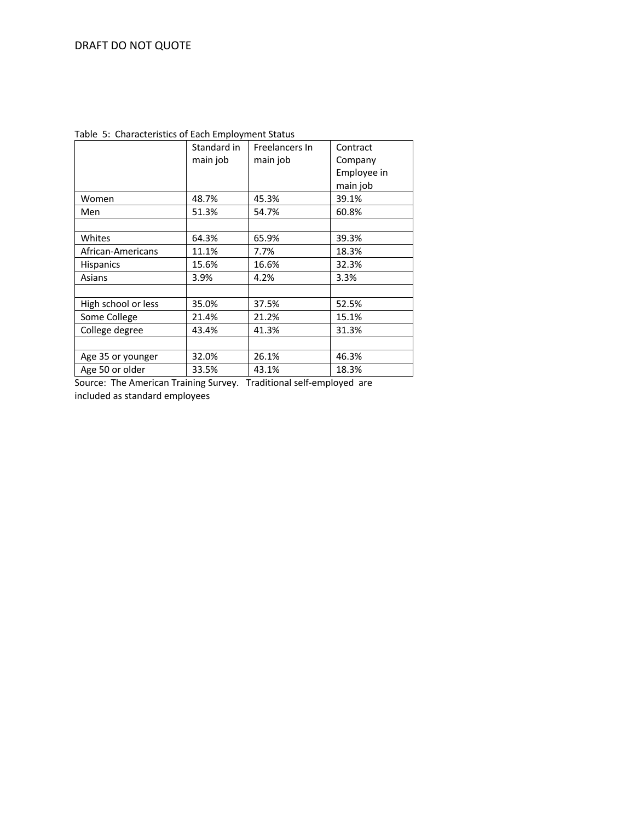|                     | Standard in | Freelancers In | Contract    |
|---------------------|-------------|----------------|-------------|
|                     | main job    | main job       | Company     |
|                     |             |                | Employee in |
|                     |             |                | main job    |
| Women               | 48.7%       | 45.3%          | 39.1%       |
| Men                 | 51.3%       | 54.7%          | 60.8%       |
|                     |             |                |             |
| Whites              | 64.3%       | 65.9%          | 39.3%       |
| African-Americans   | 11.1%       | 7.7%           | 18.3%       |
| <b>Hispanics</b>    | 15.6%       | 16.6%          | 32.3%       |
| Asians              | 3.9%        | 4.2%           | 3.3%        |
|                     |             |                |             |
| High school or less | 35.0%       | 37.5%          | 52.5%       |
| Some College        | 21.4%       | 21.2%          | 15.1%       |
| College degree      | 43.4%       | 41.3%          | 31.3%       |
|                     |             |                |             |
| Age 35 or younger   | 32.0%       | 26.1%          | 46.3%       |
| Age 50 or older     | 33.5%       | 43.1%          | 18.3%       |

Table 5: Characteristics of Each Employment Status

Source: The American Training Survey. Traditional self-employed are included as standard employees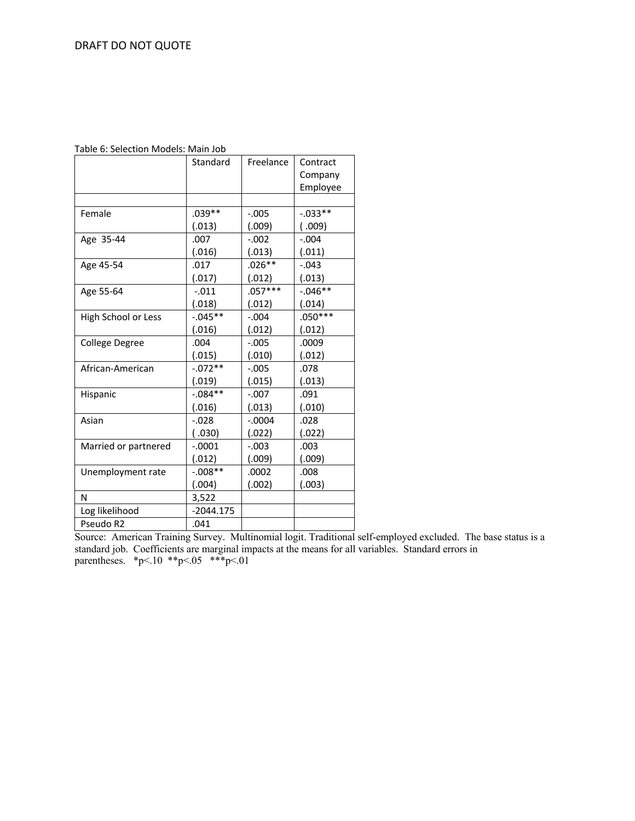| Table 6: Selection Models: Main Job |  |  |  |  |
|-------------------------------------|--|--|--|--|
|-------------------------------------|--|--|--|--|

|                      | Standard    | Freelance | Contract<br>Company<br>Employee |
|----------------------|-------------|-----------|---------------------------------|
|                      |             |           |                                 |
| Female               | $.039**$    | $-0.005$  | $-0.033**$                      |
|                      | (.013)      | (.009)    | (0.009)                         |
| Age 35-44            | .007        | $-.002$   | $-.004$                         |
|                      | (.016)      | (.013)    | (.011)                          |
| Age 45-54            | .017        | $.026**$  | $-.043$                         |
|                      | (.017)      | (.012)    | (.013)                          |
| Age 55-64            | $-.011$     | $.057***$ | $-0.046**$                      |
|                      | (.018)      | (.012)    | (.014)                          |
| High School or Less  | $-0.045**$  | $-.004$   | $.050***$                       |
|                      | (.016)      | (.012)    | (.012)                          |
| College Degree       | .004        | $-.005$   | .0009                           |
|                      | (.015)      | (.010)    | (.012)                          |
| African-American     | $-0.072**$  | $-0.005$  | .078                            |
|                      | (.019)      | (.015)    | (.013)                          |
| Hispanic             | $-.084**$   | $-.007$   | .091                            |
|                      | (.016)      | (.013)    | (.010)                          |
| Asian                | $-0.028$    | $-.0004$  | .028                            |
|                      | (0.030)     | (.022)    | (.022)                          |
| Married or partnered | $-.0001$    | $-.003$   | .003                            |
|                      | (.012)      | (.009)    | (.009)                          |
| Unemployment rate    | $-0.008**$  | .0002     | .008                            |
|                      | (.004)      | (.002)    | (.003)                          |
| N                    | 3,522       |           |                                 |
| Log likelihood       | $-2044.175$ |           |                                 |
| Pseudo R2            | .041        |           |                                 |

Source: American Training Survey. Multinomial logit. Traditional self-employed excluded. The base status is a standard job. Coefficients are marginal impacts at the means for all variables. Standard errors in parentheses.  $*_{p<.10}$   $*_{p<.05}$   $*_{p<.01}$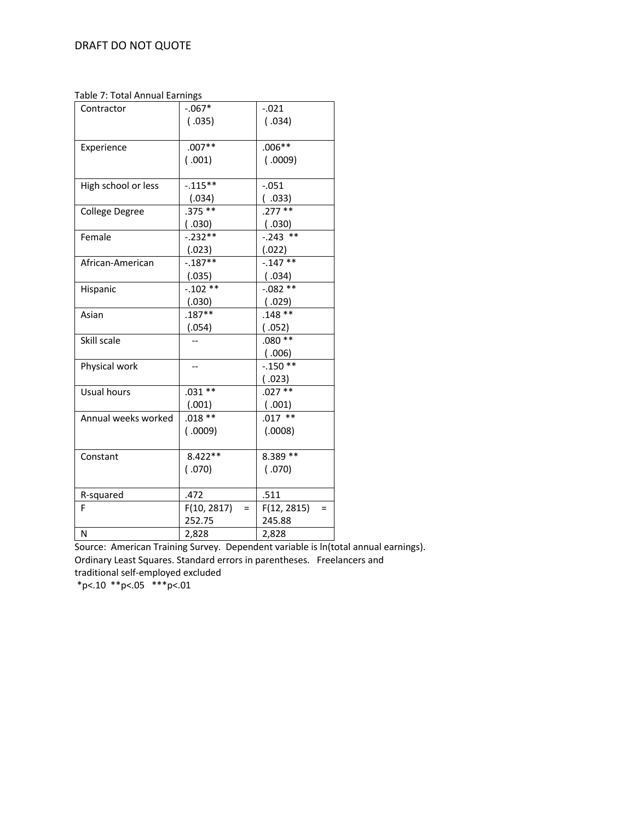Table 7: Total Annual Earnings

| rapic 7. rotai Annuar Lammigo |                    |                         |
|-------------------------------|--------------------|-------------------------|
| Contractor                    | $-.067*$           | $-0.021$                |
|                               | (.035)             | (.034)                  |
|                               |                    |                         |
| Experience                    | $.007**$           | $.006**$                |
|                               | (0.001)            | (0.009)                 |
|                               |                    |                         |
| High school or less           | $-0.115**$         | $-0.051$                |
|                               | (.034)             | ( .033)                 |
| <b>College Degree</b>         | $.375**$           | $.277***$               |
|                               | (0.030)            | (0.030)                 |
| Female                        | $-.232**$          | $-0.243$ **             |
|                               | (.023)             | (.022)                  |
| African-American              | $-.187**$          | $-0.147**$              |
|                               | (.035)             | (.034)                  |
| Hispanic                      | $-.102**$          | $-0.082**$              |
|                               | (.030)             | (0.029)                 |
| Asian                         | $.187**$           | $.148$ **               |
|                               | (.054)             | (.052)                  |
| Skill scale                   |                    | $.080**$                |
|                               |                    | (0.006)                 |
| Physical work                 |                    | $-.150**$               |
|                               |                    | (.023)                  |
| Usual hours                   | $.031**$           | $.027$ **               |
|                               | (.001)             | (.001)                  |
| Annual weeks worked           | $.018**$           | $.017$ **               |
|                               | (0.009)            | (.0008)                 |
|                               |                    |                         |
| Constant                      | $8.422**$          | $8.389**$               |
|                               | (070)              | (070)                   |
|                               |                    |                         |
| R-squared                     | .472               | .511                    |
| F                             | F(10, 2817)<br>$=$ | F(12, 2815)<br>$\equiv$ |
|                               | 252.75             | 245.88                  |
| N                             | 2,828              | 2,828                   |

Source: American Training Survey. Dependent variable is ln(total annual earnings). Ordinary Least Squares. Standard errors in parentheses. Freelancers and traditional self-employed excluded

 $*p<.10$  \*\*p<.05 \*\*\*p<.01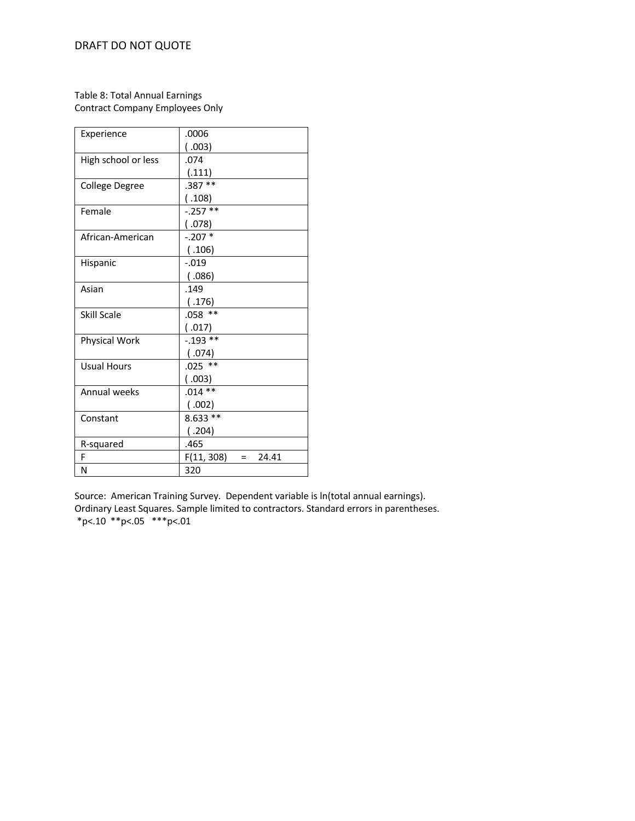## Table 8: Total Annual Earnings Contract Company Employees Only

| Experience          | .0006                      |  |  |
|---------------------|----------------------------|--|--|
|                     | (0.003)                    |  |  |
| High school or less | .074                       |  |  |
|                     | (.111)                     |  |  |
| College Degree      | $.387**$                   |  |  |
|                     | (.108)                     |  |  |
| Female              | $-.257**$                  |  |  |
|                     | (.078)                     |  |  |
| African-American    | $-.207*$                   |  |  |
|                     | (.106)                     |  |  |
| Hispanic            | $-.019$                    |  |  |
|                     | (.086)                     |  |  |
| Asian               | .149                       |  |  |
|                     | (.176)                     |  |  |
| Skill Scale         | $.058$ **                  |  |  |
|                     | (.017)                     |  |  |
| Physical Work       | $-0.193**$                 |  |  |
|                     | (.074)                     |  |  |
| <b>Usual Hours</b>  | $.025$ **                  |  |  |
|                     | (.003)                     |  |  |
| Annual weeks        | $.014**$                   |  |  |
|                     | (.002)                     |  |  |
| Constant            | $8.633**$                  |  |  |
|                     | (.204)                     |  |  |
| R-squared           | .465                       |  |  |
| F                   | F(11, 308)<br>24.41<br>$=$ |  |  |
| N                   | 320                        |  |  |

Source: American Training Survey. Dependent variable is ln(total annual earnings). Ordinary Least Squares. Sample limited to contractors. Standard errors in parentheses.  $*p<.10$  \*\*p<.05 \*\*\*p<.01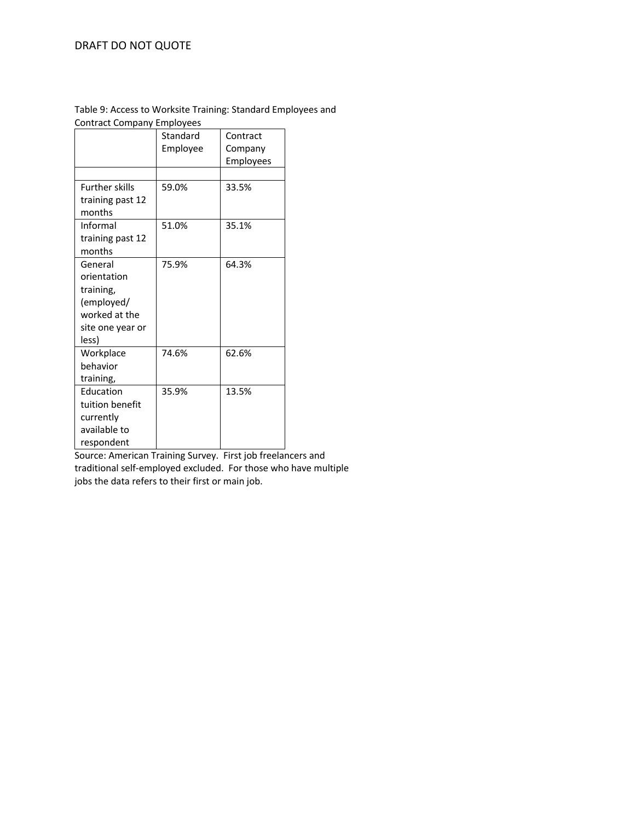#### Table 9: Access to Worksite Training: Standard Employees and Contract Company Employees

| - <sub>.</sub> <b>.</b> |                      |                     |
|-------------------------|----------------------|---------------------|
|                         | Standard<br>Employee | Contract<br>Company |
|                         |                      | Employees           |
|                         |                      |                     |
| <b>Further skills</b>   | 59.0%                | 33.5%               |
| training past 12        |                      |                     |
| months                  |                      |                     |
| Informal                | 51.0%                | 35.1%               |
| training past 12        |                      |                     |
| months                  |                      |                     |
| General                 | 75.9%                | 64.3%               |
| orientation             |                      |                     |
| training,               |                      |                     |
| (employed/              |                      |                     |
| worked at the           |                      |                     |
| site one year or        |                      |                     |
| less)                   |                      |                     |
| Workplace               | 74.6%                | 62.6%               |
| behavior                |                      |                     |
| training,               |                      |                     |
| Education               | 35.9%                | 13.5%               |
| tuition benefit         |                      |                     |
| currently               |                      |                     |
| available to            |                      |                     |
| respondent              |                      |                     |

Source: American Training Survey. First job freelancers and traditional self-employed excluded. For those who have multiple jobs the data refers to their first or main job.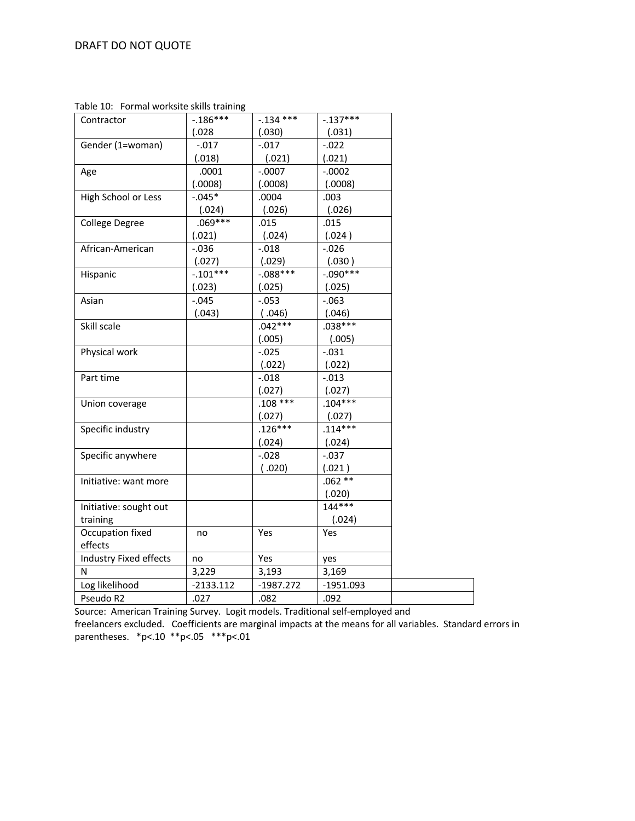Table 10: Formal worksite skills training

| Contractor             | $-0.186***$ | $-.134$ *** | $-.137***$  |
|------------------------|-------------|-------------|-------------|
|                        | (.028)      | (.030)      | (.031)      |
| Gender (1=woman)       | $-.017$     | $-0.017$    | $-0.022$    |
|                        | (.018)      | (.021)      | (.021)      |
| Age                    | .0001       | $-.0007$    | $-.0002$    |
|                        | (.0008)     | (.0008)     | (.0008)     |
| High School or Less    | $-0.045*$   | .0004       | .003        |
|                        | (.024)      | (.026)      | (.026)      |
| College Degree         | $.069***$   | .015        | .015        |
|                        | (.021)      | (.024)      | (.024)      |
| African-American       | $-0.036$    | $-0.018$    | $-0.026$    |
|                        | (.027)      | (.029)      | (.030)      |
| Hispanic               | $-.101***$  | $-.088***$  | $-.090***$  |
|                        | (.023)      | (.025)      | (.025)      |
| Asian                  | $-0.045$    | $-0.053$    | $-063$      |
|                        | (.043)      | (.046)      | (.046)      |
| Skill scale            |             | $.042***$   | $.038***$   |
|                        |             | (.005)      | (.005)      |
| Physical work          |             | $-0.025$    | $-0.031$    |
|                        |             | (.022)      | (.022)      |
| Part time              |             | $-0.018$    | $-0.013$    |
|                        |             | (.027)      | (.027)      |
| Union coverage         |             | $.108***$   | $.104***$   |
|                        |             | (.027)      | (.027)      |
| Specific industry      |             | $.126***$   | $.114***$   |
|                        |             | (.024)      | (.024)      |
| Specific anywhere      |             | $-0.028$    | $-0.037$    |
|                        |             | (0.020)     | (.021)      |
| Initiative: want more  |             |             | $.062**$    |
|                        |             |             | (.020)      |
| Initiative: sought out |             |             | $144***$    |
| training               |             |             | (.024)      |
| Occupation fixed       | no          | Yes         | Yes         |
| effects                |             |             |             |
| Industry Fixed effects | no          | Yes         | yes         |
| N                      | 3,229       | 3,193       | 3,169       |
| Log likelihood         | $-2133.112$ | $-1987.272$ | $-1951.093$ |
| Pseudo R2              | .027        | .082        | .092        |
|                        |             |             |             |

Source: American Training Survey. Logit models. Traditional self-employed and

freelancers excluded. Coefficients are marginal impacts at the means for all variables. Standard errors in parentheses. \*p<.10 \*\*p<.05 \*\*\*p<.01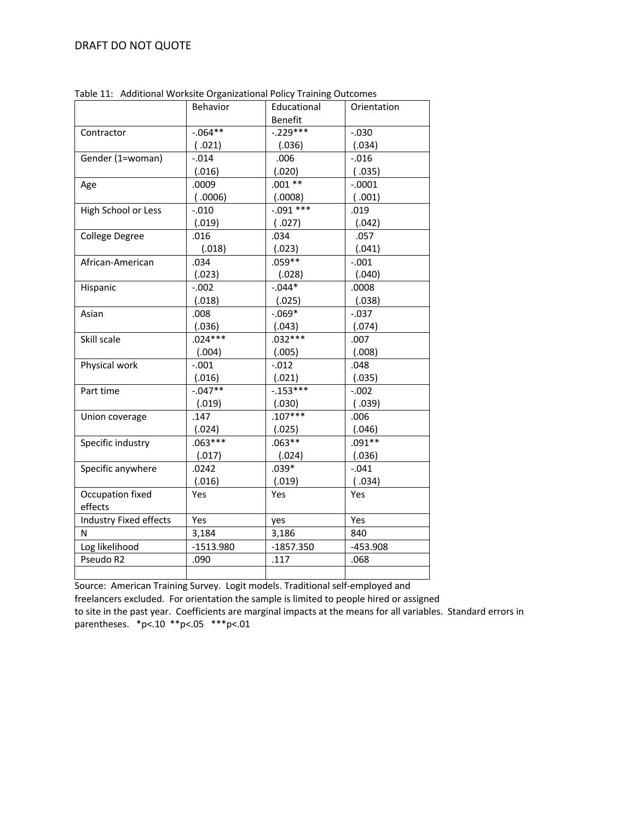|                        | Behavior    | Educational    | Orientation |
|------------------------|-------------|----------------|-------------|
|                        |             | <b>Benefit</b> |             |
| Contractor             | $-0.064**$  | $-.229***$     | $-0.030$    |
|                        | (.021)      | (.036)         | (.034)      |
| Gender (1=woman)       | $-0.014$    | .006           | $-0.016$    |
|                        | (.016)      | (.020)         | (.035)      |
| Age                    | .0009       | $.001**$       | $-.0001$    |
|                        | (0.006)     | (.0008)        | (0.001)     |
| High School or Less    | $-.010$     | $-0.091$ ***   | .019        |
|                        | (.019)      | (.027)         | (.042)      |
| College Degree         | .016        | .034           | .057        |
|                        | (.018)      | (.023)         | (.041)      |
| African-American       | .034        | $.059**$       | $-.001$     |
|                        | (.023)      | (.028)         | (.040)      |
| Hispanic               | $-0.002$    | $-0.044*$      | .0008       |
|                        | (.018)      | (.025)         | (.038)      |
| Asian                  | .008        | $-.069*$       | $-.037$     |
|                        | (.036)      | (.043)         | (.074)      |
| Skill scale            | $.024***$   | $.032***$      | .007        |
|                        | (.004)      | (.005)         | (.008)      |
| Physical work          | $-.001$     | $-0.012$       | .048        |
|                        | (.016)      | (.021)         | (.035)      |
| Part time              | $-0.047**$  | $-0.153***$    | $-0.002$    |
|                        | (.019)      | (.030)         | (0.039)     |
| Union coverage         | .147        | $.107***$      | .006        |
|                        | (.024)      | (.025)         | (.046)      |
| Specific industry      | $.063***$   | $.063**$       | $.091**$    |
|                        | (.017)      | (.024)         | (.036)      |
| Specific anywhere      | .0242       | $.039*$        | $-.041$     |
|                        | (.016)      | (.019)         | (.034)      |
| Occupation fixed       | Yes         | Yes            | Yes         |
| effects                |             |                |             |
| Industry Fixed effects | Yes         | yes            | Yes         |
| Ν                      | 3,184       | 3,186          | 840         |
| Log likelihood         | $-1513.980$ | $-1857.350$    | $-453.908$  |
| Pseudo R2              | .090        | .117           | .068        |
|                        |             |                |             |

Table 11: Additional Worksite Organizational Policy Training Outcomes

 $\overline{\phantom{a}}$ Source: American Training Survey. Logit models. Traditional self-employed and freelancers excluded. For orientation the sample is limited to people hired or assigned to site in the past year. Coefficients are marginal impacts at the means for all variables. Standard errors in parentheses. \*p<.10 \*\*p<.05 \*\*\*p<.01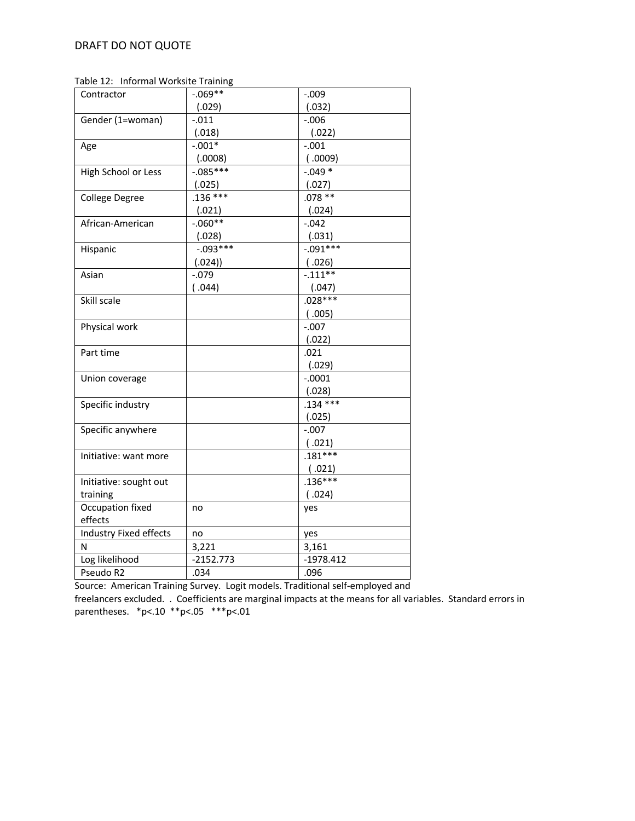Table 12: Informal Worksite Training

| Contractor             | $-0.69**$   | $-0.009$    |
|------------------------|-------------|-------------|
|                        | (.029)      | (.032)      |
| Gender (1=woman)       | $-0.011$    | $-0.006$    |
|                        | (.018)      | (.022)      |
| Age                    | $-.001*$    | $-.001$     |
|                        | (.0008)     | (0.009)     |
| High School or Less    | $-0.085***$ | $-.049*$    |
|                        | (.025)      | (.027)      |
| <b>College Degree</b>  | $.136***$   | $.078**$    |
|                        | (.021)      | (.024)      |
| African-American       | $-0.060**$  | $-0.042$    |
|                        | (.028)      | (.031)      |
| Hispanic               | $-0.093***$ | $-0.091***$ |
|                        | (.024))     | (.026)      |
| Asian                  | $-0.079$    | $-0.111**$  |
|                        | (.044)      | (.047)      |
| Skill scale            |             | $.028***$   |
|                        |             | (.005)      |
| Physical work          |             | $-.007$     |
|                        |             | (.022)      |
| Part time              |             | .021        |
|                        |             | (.029)      |
| Union coverage         |             | $-.0001$    |
|                        |             | (.028)      |
| Specific industry      |             | $.134***$   |
|                        |             | (.025)      |
| Specific anywhere      |             | $-.007$     |
|                        |             | (.021)      |
| Initiative: want more  |             | $.181***$   |
|                        |             | (.021)      |
| Initiative: sought out |             | $.136***$   |
| training               |             | (.024)      |
| Occupation fixed       | no          | yes         |
| effects                |             |             |
| Industry Fixed effects | no          | yes         |
| N                      | 3,221       | 3,161       |
| Log likelihood         | $-2152.773$ | $-1978.412$ |
| Pseudo R2              | .034        | .096        |

Source: American Training Survey. Logit models. Traditional self-employed and

freelancers excluded. . Coefficients are marginal impacts at the means for all variables. Standard errors in parentheses. \*p<.10 \*\*p<.05 \*\*\*p<.01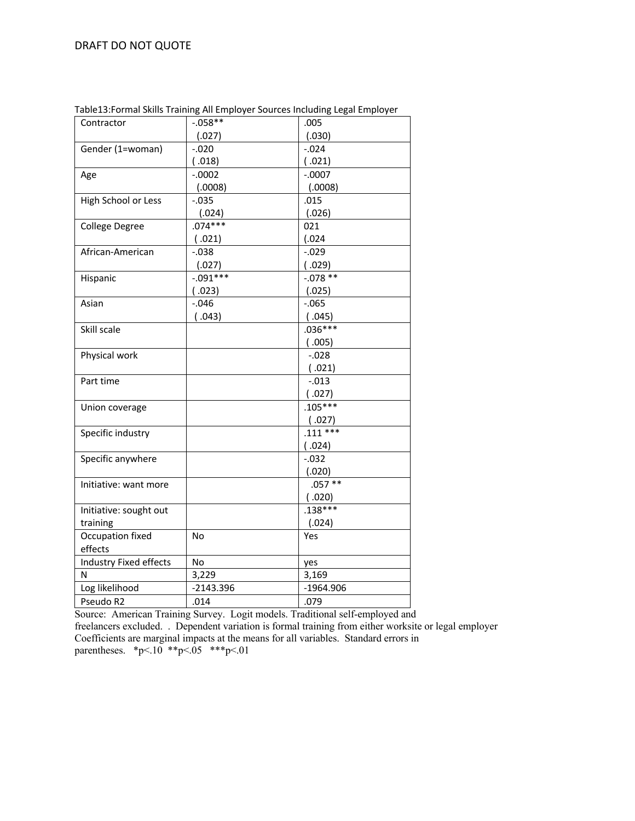| Contractor             | $-0.058**$  | .005        |
|------------------------|-------------|-------------|
|                        | (.027)      | (.030)      |
| Gender (1=woman)       | $-0.020$    | $-0.024$    |
|                        | (.018)      | (.021)      |
| Age                    | $-.0002$    | $-.0007$    |
|                        | (.0008)     | (.0008)     |
| High School or Less    | $-0.035$    | .015        |
|                        | (.024)      | (.026)      |
| College Degree         | $.074***$   | 021         |
|                        | (.021)      | (.024)      |
| African-American       | $-0.038$    | $-0.029$    |
|                        | (.027)      | (.029)      |
| Hispanic               | $-0.091***$ | $-0.078**$  |
|                        | (.023)      | (.025)      |
| Asian                  | $-0.046$    | $-0.065$    |
|                        | (.043)      | (.045)      |
| Skill scale            |             | $.036***$   |
|                        |             | (0.005)     |
| Physical work          |             | $-0.028$    |
|                        |             | (.021)      |
| Part time              |             | $-.013$     |
|                        |             | (.027)      |
| Union coverage         |             | $.105***$   |
|                        |             | (.027)      |
| Specific industry      |             | $.111***$   |
|                        |             | (.024)      |
| Specific anywhere      |             | $-0.032$    |
|                        |             | (.020)      |
| Initiative: want more  |             | $.057***$   |
|                        |             | (0.020)     |
| Initiative: sought out |             | $.138***$   |
| training               |             | (.024)      |
| Occupation fixed       | No          | Yes         |
| effects                |             |             |
| Industry Fixed effects | No          | yes         |
| N                      | 3,229       | 3,169       |
| Log likelihood         | $-2143.396$ | $-1964.906$ |
| Pseudo R2              | .014        | .079        |

Table13:Formal Skills Training All Employer Sources Including Legal Employer

Source: American Training Survey. Logit models. Traditional self-employed and freelancers excluded. . Dependent variation is formal training from either worksite or legal employer Coefficients are marginal impacts at the means for all variables. Standard errors in parentheses. \*p<.10 \*\*p<.05 \*\*\*p<.01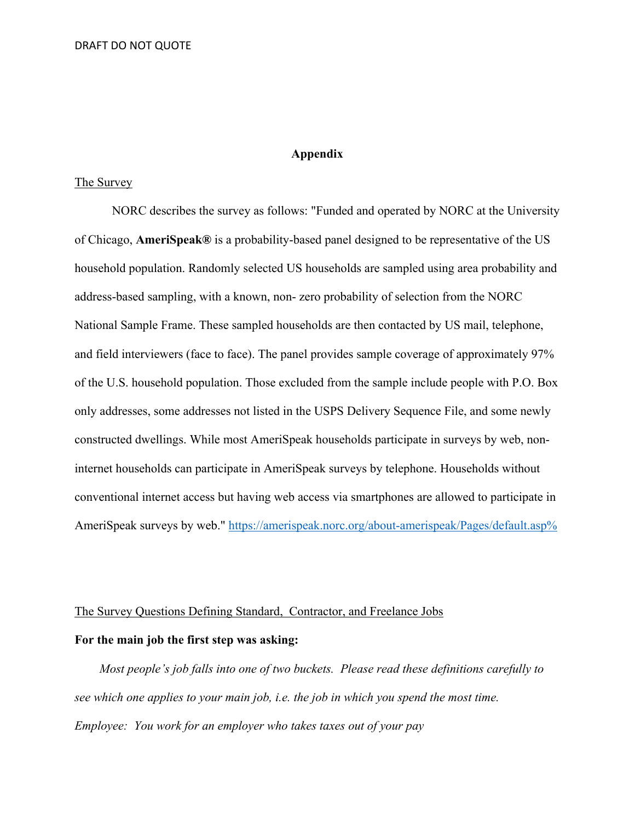# **Appendix**

# The Survey

 NORC describes the survey as follows: "Funded and operated by NORC at the University of Chicago, **AmeriSpeak®** is a probability-based panel designed to be representative of the US household population. Randomly selected US households are sampled using area probability and address-based sampling, with a known, non- zero probability of selection from the NORC National Sample Frame. These sampled households are then contacted by US mail, telephone, and field interviewers (face to face). The panel provides sample coverage of approximately 97% of the U.S. household population. Those excluded from the sample include people with P.O. Box only addresses, some addresses not listed in the USPS Delivery Sequence File, and some newly constructed dwellings. While most AmeriSpeak households participate in surveys by web, noninternet households can participate in AmeriSpeak surveys by telephone. Households without conventional internet access but having web access via smartphones are allowed to participate in AmeriSpeak surveys by web." https://amerispeak.norc.org/about-amerispeak/Pages/default.asp%

# The Survey Questions Defining Standard, Contractor, and Freelance Jobs

## **For the main job the first step was asking:**

 *Most people's job falls into one of two buckets. Please read these definitions carefully to see which one applies to your main job, i.e. the job in which you spend the most time. Employee: You work for an employer who takes taxes out of your pay*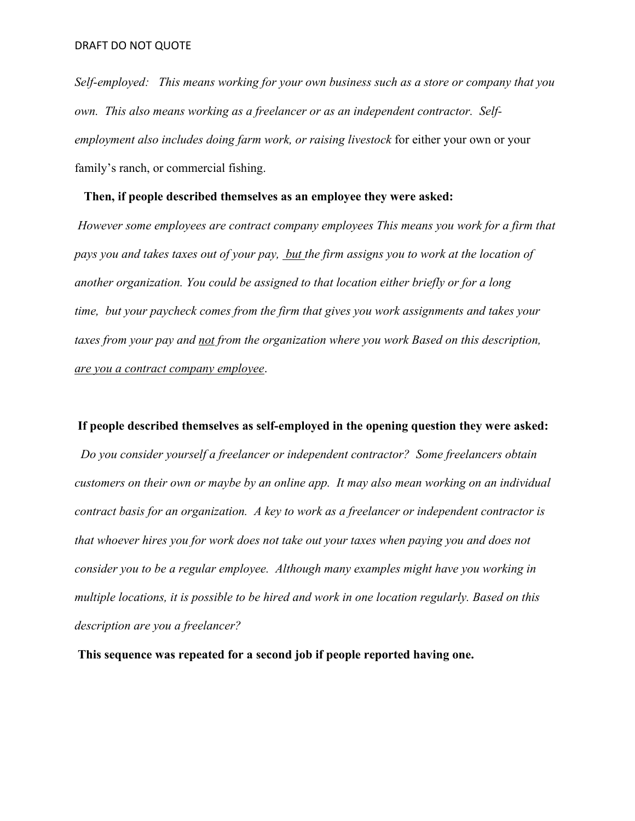*Self-employed: This means working for your own business such as a store or company that you own. This also means working as a freelancer or as an independent contractor. Selfemployment also includes doing farm work, or raising livestock* for either your own or your family's ranch, or commercial fishing.

## **Then, if people described themselves as an employee they were asked:**

*However some employees are contract company employees This means you work for a firm that pays you and takes taxes out of your pay, but the firm assigns you to work at the location of another organization. You could be assigned to that location either briefly or for a long time, but your paycheck comes from the firm that gives you work assignments and takes your taxes from your pay and not from the organization where you work Based on this description, are you a contract company employee*.

## **If people described themselves as self-employed in the opening question they were asked:**

 *Do you consider yourself a freelancer or independent contractor? Some freelancers obtain customers on their own or maybe by an online app. It may also mean working on an individual contract basis for an organization. A key to work as a freelancer or independent contractor is that whoever hires you for work does not take out your taxes when paying you and does not consider you to be a regular employee. Although many examples might have you working in multiple locations, it is possible to be hired and work in one location regularly. Based on this description are you a freelancer?*

**This sequence was repeated for a second job if people reported having one.**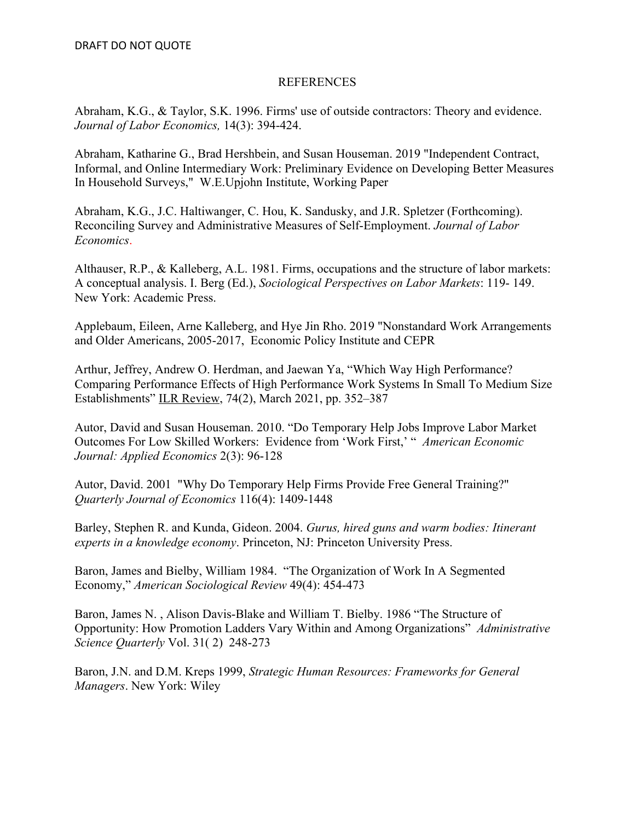# REFERENCES

Abraham, K.G., & Taylor, S.K. 1996. Firms' use of outside contractors: Theory and evidence. *Journal of Labor Economics,* 14(3): 394-424.

Abraham, Katharine G., Brad Hershbein, and Susan Houseman. 2019 "Independent Contract, Informal, and Online Intermediary Work: Preliminary Evidence on Developing Better Measures In Household Surveys," W.E.Upjohn Institute, Working Paper

Abraham, K.G., J.C. Haltiwanger, C. Hou, K. Sandusky, and J.R. Spletzer (Forthcoming). Reconciling Survey and Administrative Measures of Self-Employment. *Journal of Labor Economics*.

Althauser, R.P., & Kalleberg, A.L. 1981. Firms, occupations and the structure of labor markets: A conceptual analysis. I. Berg (Ed.), *Sociological Perspectives on Labor Markets*: 119- 149. New York: Academic Press.

Applebaum, Eileen, Arne Kalleberg, and Hye Jin Rho. 2019 "Nonstandard Work Arrangements and Older Americans, 2005-2017, Economic Policy Institute and CEPR

Arthur, Jeffrey, Andrew O. Herdman, and Jaewan Ya, "Which Way High Performance? Comparing Performance Effects of High Performance Work Systems In Small To Medium Size Establishments" ILR Review, 74(2), March 2021, pp. 352–387

Autor, David and Susan Houseman. 2010. "Do Temporary Help Jobs Improve Labor Market Outcomes For Low Skilled Workers: Evidence from 'Work First,' " *American Economic Journal: Applied Economics* 2(3): 96-128

Autor, David. 2001 "Why Do Temporary Help Firms Provide Free General Training?" *Quarterly Journal of Economics* 116(4): 1409-1448

Barley, Stephen R. and Kunda, Gideon. 2004. *Gurus, hired guns and warm bodies: Itinerant experts in a knowledge economy*. Princeton, NJ: Princeton University Press.

Baron, James and Bielby, William 1984. "The Organization of Work In A Segmented Economy," *American Sociological Review* 49(4): 454-473

Baron, James N. , Alison Davis-Blake and William T. Bielby. 1986 "The Structure of Opportunity: How Promotion Ladders Vary Within and Among Organizations" *Administrative Science Quarterly* Vol. 31( 2) 248-273

Baron, J.N. and D.M. Kreps 1999, *Strategic Human Resources: Frameworks for General Managers*. New York: Wiley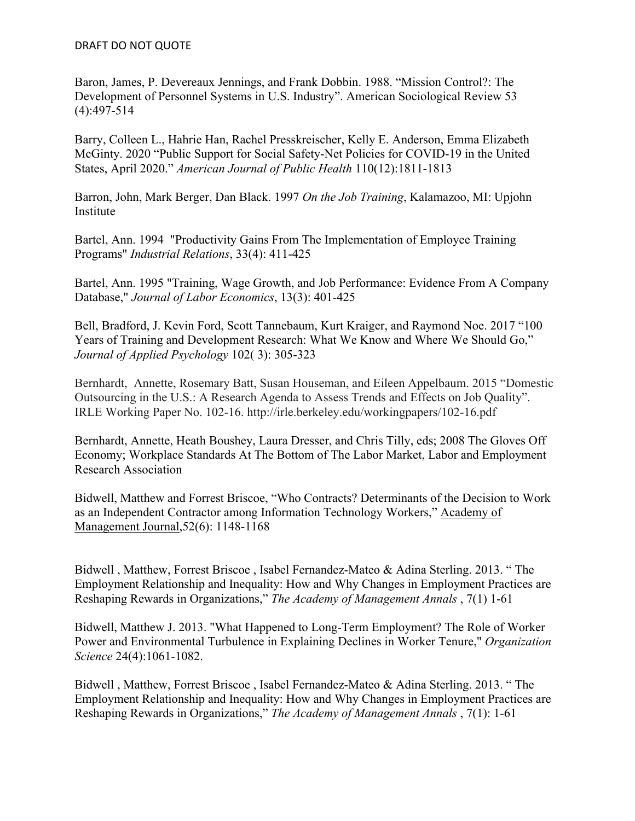Baron, James, P. Devereaux Jennings, and Frank Dobbin. 1988. "Mission Control?: The Development of Personnel Systems in U.S. Industry". American Sociological Review 53 (4):497-514

Barry, Colleen L., Hahrie Han, Rachel Presskreischer, Kelly E. Anderson, Emma Elizabeth McGinty. 2020 "Public Support for Social Safety-Net Policies for COVID-19 in the United States, April 2020." *American Journal of Public Health* 110(12):1811-1813

Barron, John, Mark Berger, Dan Black. 1997 *On the Job Training*, Kalamazoo, MI: Upjohn Institute

Bartel, Ann. 1994 "Productivity Gains From The Implementation of Employee Training Programs" *Industrial Relations*, 33(4): 411-425

Bartel, Ann. 1995 "Training, Wage Growth, and Job Performance: Evidence From A Company Database," *Journal of Labor Economics*, 13(3): 401-425

Bell, Bradford, J. Kevin Ford, Scott Tannebaum, Kurt Kraiger, and Raymond Noe. 2017 "100 Years of Training and Development Research: What We Know and Where We Should Go," *Journal of Applied Psychology* 102( 3): 305-323

Bernhardt, Annette, Rosemary Batt, Susan Houseman, and Eileen Appelbaum. 2015 "Domestic Outsourcing in the U.S.: A Research Agenda to Assess Trends and Effects on Job Quality". IRLE Working Paper No. 102-16. http://irle.berkeley.edu/workingpapers/102-16.pdf

Bernhardt, Annette, Heath Boushey, Laura Dresser, and Chris Tilly, eds; 2008 The Gloves Off Economy; Workplace Standards At The Bottom of The Labor Market, Labor and Employment Research Association

Bidwell, Matthew and Forrest Briscoe, "Who Contracts? Determinants of the Decision to Work as an Independent Contractor among Information Technology Workers," Academy of Management Journal,52(6): 1148-1168

Bidwell , Matthew, Forrest Briscoe , Isabel Fernandez-Mateo & Adina Sterling. 2013. " The Employment Relationship and Inequality: How and Why Changes in Employment Practices are Reshaping Rewards in Organizations," *The Academy of Management Annals* , 7(1) 1-61

Bidwell, Matthew J. 2013. "What Happened to Long-Term Employment? The Role of Worker Power and Environmental Turbulence in Explaining Declines in Worker Tenure," *Organization Science* 24(4):1061-1082.

Bidwell , Matthew, Forrest Briscoe , Isabel Fernandez-Mateo & Adina Sterling. 2013. " The Employment Relationship and Inequality: How and Why Changes in Employment Practices are Reshaping Rewards in Organizations," *The Academy of Management Annals* , 7(1): 1-61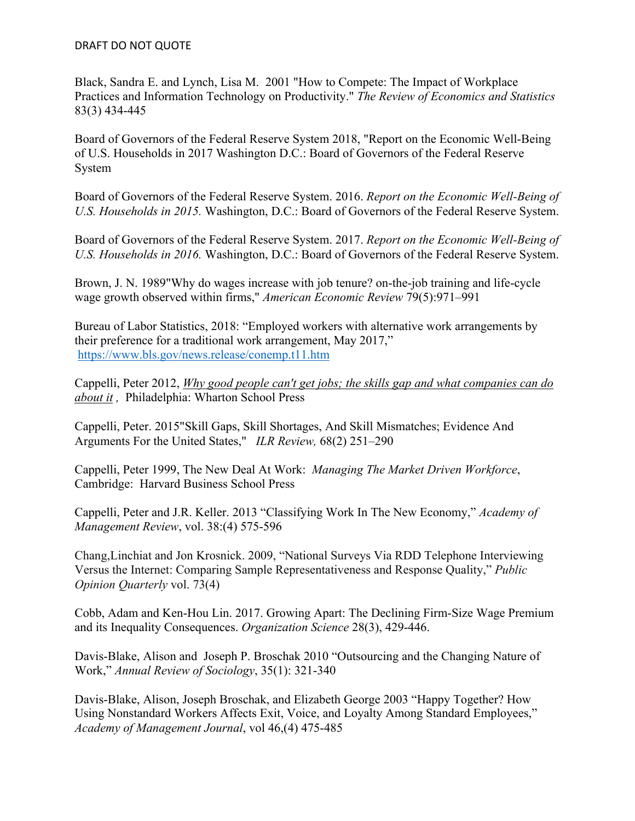Black, Sandra E. and Lynch, Lisa M. 2001 "How to Compete: The Impact of Workplace Practices and Information Technology on Productivity." *The Review of Economics and Statistics* 83(3) 434-445

Board of Governors of the Federal Reserve System 2018, "Report on the Economic Well-Being of U.S. Households in 2017 Washington D.C.: Board of Governors of the Federal Reserve System

Board of Governors of the Federal Reserve System. 2016. *Report on the Economic Well-Being of U.S. Households in 2015.* Washington, D.C.: Board of Governors of the Federal Reserve System.

Board of Governors of the Federal Reserve System. 2017. *Report on the Economic Well-Being of U.S. Households in 2016.* Washington, D.C.: Board of Governors of the Federal Reserve System.

Brown, J. N. 1989"Why do wages increase with job tenure? on-the-job training and life-cycle wage growth observed within firms," *American Economic Review* 79(5):971–991

Bureau of Labor Statistics, 2018: "Employed workers with alternative work arrangements by their preference for a traditional work arrangement, May 2017," https://www.bls.gov/news.release/conemp.t11.htm

Cappelli, Peter 2012, *Why good people can't get jobs; the skills gap and what companies can do about it ,* Philadelphia: Wharton School Press

Cappelli, Peter. 2015"Skill Gaps, Skill Shortages, And Skill Mismatches; Evidence And Arguments For the United States," *ILR Review,* 68(2) 251–290

Cappelli, Peter 1999, The New Deal At Work: *Managing The Market Driven Workforce*, Cambridge: Harvard Business School Press

Cappelli, Peter and J.R. Keller. 2013 "Classifying Work In The New Economy," *Academy of Management Review*, vol. 38:(4) 575-596

Chang,Linchiat and Jon Krosnick. 2009, "National Surveys Via RDD Telephone Interviewing Versus the Internet: Comparing Sample Representativeness and Response Quality," *Public Opinion Quarterly* vol. 73(4)

Cobb, Adam and Ken-Hou Lin. 2017. Growing Apart: The Declining Firm-Size Wage Premium and its Inequality Consequences. *Organization Science* 28(3), 429-446.

Davis-Blake, Alison and Joseph P. Broschak 2010 "Outsourcing and the Changing Nature of Work," *Annual Review of Sociology*, 35(1): 321-340

Davis-Blake, Alison, Joseph Broschak, and Elizabeth George 2003 "Happy Together? How Using Nonstandard Workers Affects Exit, Voice, and Loyalty Among Standard Employees," *Academy of Management Journal*, vol 46,(4) 475-485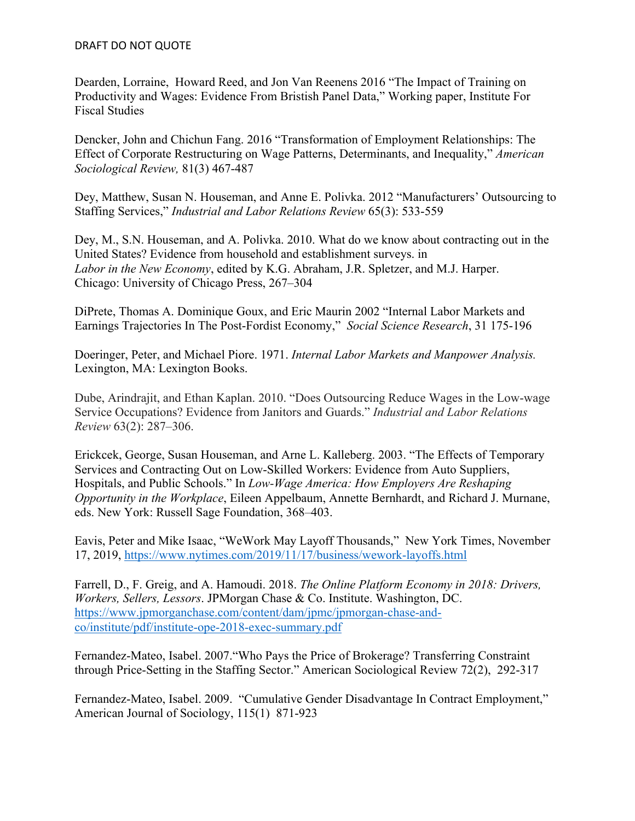Dearden, Lorraine, Howard Reed, and Jon Van Reenens 2016 "The Impact of Training on Productivity and Wages: Evidence From Bristish Panel Data," Working paper, Institute For Fiscal Studies

Dencker, John and Chichun Fang. 2016 "Transformation of Employment Relationships: The Effect of Corporate Restructuring on Wage Patterns, Determinants, and Inequality," *American Sociological Review,* 81(3) 467-487

Dey, Matthew, Susan N. Houseman, and Anne E. Polivka. 2012 "Manufacturers' Outsourcing to Staffing Services," *Industrial and Labor Relations Review* 65(3): 533-559

Dey, M., S.N. Houseman, and A. Polivka. 2010. What do we know about contracting out in the United States? Evidence from household and establishment surveys. in *Labor in the New Economy*, edited by K.G. Abraham, J.R. Spletzer, and M.J. Harper. Chicago: University of Chicago Press, 267–304

DiPrete, Thomas A. Dominique Goux, and Eric Maurin 2002 "Internal Labor Markets and Earnings Trajectories In The Post-Fordist Economy," *Social Science Research*, 31 175-196

Doeringer, Peter, and Michael Piore. 1971. *Internal Labor Markets and Manpower Analysis.* Lexington, MA: Lexington Books.

Dube, Arindrajit, and Ethan Kaplan. 2010. "Does Outsourcing Reduce Wages in the Low-wage Service Occupations? Evidence from Janitors and Guards." *Industrial and Labor Relations Review* 63(2): 287–306.

Erickcek, George, Susan Houseman, and Arne L. Kalleberg. 2003. "The Effects of Temporary Services and Contracting Out on Low-Skilled Workers: Evidence from Auto Suppliers, Hospitals, and Public Schools." In *Low-Wage America: How Employers Are Reshaping Opportunity in the Workplace*, Eileen Appelbaum, Annette Bernhardt, and Richard J. Murnane, eds. New York: Russell Sage Foundation, 368–403.

Eavis, Peter and Mike Isaac, "WeWork May Layoff Thousands," New York Times, November 17, 2019, https://www.nytimes.com/2019/11/17/business/wework-layoffs.html

Farrell, D., F. Greig, and A. Hamoudi. 2018. *The Online Platform Economy in 2018: Drivers, Workers, Sellers, Lessors*. JPMorgan Chase & Co. Institute. Washington, DC. https://www.jpmorganchase.com/content/dam/jpmc/jpmorgan-chase-andco/institute/pdf/institute-ope-2018-exec-summary.pdf

Fernandez-Mateo, Isabel. 2007."Who Pays the Price of Brokerage? Transferring Constraint through Price-Setting in the Staffing Sector." American Sociological Review 72(2), 292-317

Fernandez-Mateo, Isabel. 2009. "Cumulative Gender Disadvantage In Contract Employment," American Journal of Sociology, 115(1) 871-923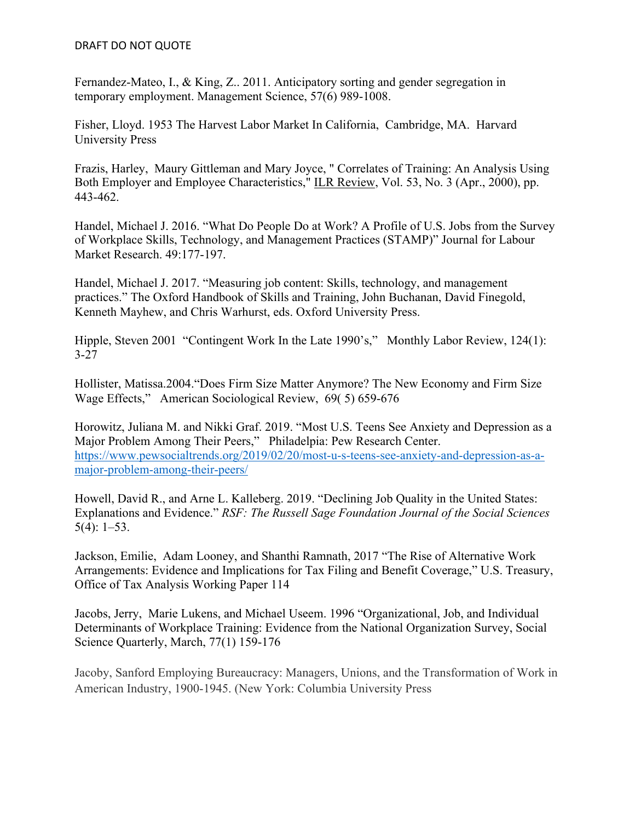Fernandez-Mateo, I., & King, Z.. 2011. Anticipatory sorting and gender segregation in temporary employment. Management Science, 57(6) 989-1008.

Fisher, Lloyd. 1953 The Harvest Labor Market In California, Cambridge, MA. Harvard University Press

Frazis, Harley, Maury Gittleman and Mary Joyce, " Correlates of Training: An Analysis Using Both Employer and Employee Characteristics," ILR Review, Vol. 53, No. 3 (Apr., 2000), pp. 443-462.

Handel, Michael J. 2016. "What Do People Do at Work? A Profile of U.S. Jobs from the Survey of Workplace Skills, Technology, and Management Practices (STAMP)" Journal for Labour Market Research. 49:177-197.

Handel, Michael J. 2017. "Measuring job content: Skills, technology, and management practices." The Oxford Handbook of Skills and Training, John Buchanan, David Finegold, Kenneth Mayhew, and Chris Warhurst, eds. Oxford University Press.

Hipple, Steven 2001 "Contingent Work In the Late 1990's," Monthly Labor Review, 124(1): 3-27

Hollister, Matissa.2004."Does Firm Size Matter Anymore? The New Economy and Firm Size Wage Effects," American Sociological Review, 69( 5) 659-676

Horowitz, Juliana M. and Nikki Graf. 2019. "Most U.S. Teens See Anxiety and Depression as a Major Problem Among Their Peers," Philadelpia: Pew Research Center. https://www.pewsocialtrends.org/2019/02/20/most-u-s-teens-see-anxiety-and-depression-as-amajor-problem-among-their-peers/

Howell, David R., and Arne L. Kalleberg. 2019. "Declining Job Quality in the United States: Explanations and Evidence." *RSF: The Russell Sage Foundation Journal of the Social Sciences*  5(4): 1–53.

Jackson, Emilie, Adam Looney, and Shanthi Ramnath, 2017 "The Rise of Alternative Work Arrangements: Evidence and Implications for Tax Filing and Benefit Coverage," U.S. Treasury, Office of Tax Analysis Working Paper 114

Jacobs, Jerry, Marie Lukens, and Michael Useem. 1996 "Organizational, Job, and Individual Determinants of Workplace Training: Evidence from the National Organization Survey, Social Science Quarterly, March, 77(1) 159-176

Jacoby, Sanford Employing Bureaucracy: Managers, Unions, and the Transformation of Work in American Industry, 1900-1945. (New York: Columbia University Press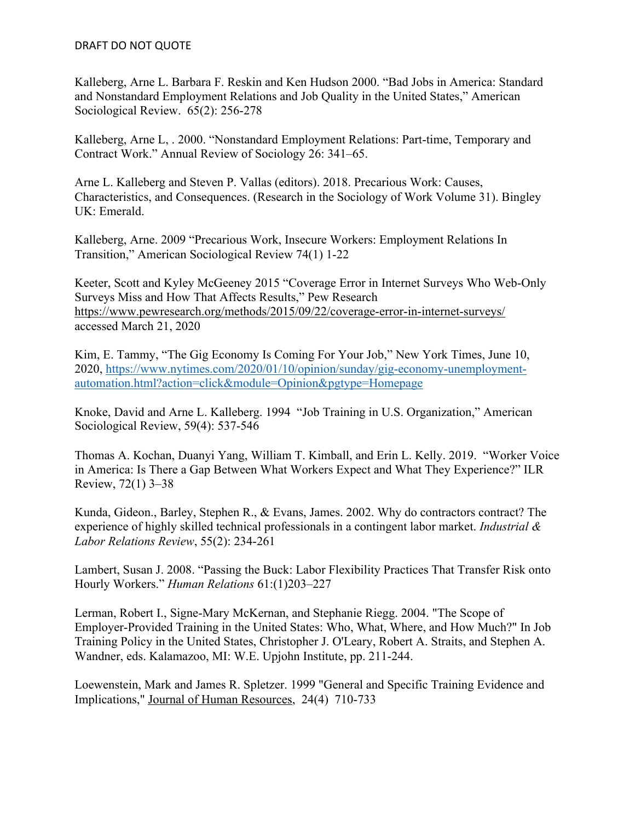Kalleberg, Arne L. Barbara F. Reskin and Ken Hudson 2000. "Bad Jobs in America: Standard and Nonstandard Employment Relations and Job Quality in the United States," American Sociological Review. 65(2): 256-278

Kalleberg, Arne L, . 2000. "Nonstandard Employment Relations: Part-time, Temporary and Contract Work." Annual Review of Sociology 26: 341–65.

Arne L. Kalleberg and Steven P. Vallas (editors). 2018. Precarious Work: Causes, Characteristics, and Consequences. (Research in the Sociology of Work Volume 31). Bingley UK: Emerald.

Kalleberg, Arne. 2009 "Precarious Work, Insecure Workers: Employment Relations In Transition," American Sociological Review 74(1) 1-22

Keeter, Scott and Kyley McGeeney 2015 "Coverage Error in Internet Surveys Who Web-Only Surveys Miss and How That Affects Results," Pew Research https://www.pewresearch.org/methods/2015/09/22/coverage-error-in-internet-surveys/ accessed March 21, 2020

Kim, E. Tammy, "The Gig Economy Is Coming For Your Job," New York Times, June 10, 2020, https://www.nytimes.com/2020/01/10/opinion/sunday/gig-economy-unemploymentautomation.html?action=click&module=Opinion&pgtype=Homepage

Knoke, David and Arne L. Kalleberg. 1994 "Job Training in U.S. Organization," American Sociological Review, 59(4): 537-546

Thomas A. Kochan, Duanyi Yang, William T. Kimball, and Erin L. Kelly. 2019. "Worker Voice in America: Is There a Gap Between What Workers Expect and What They Experience?" ILR Review, 72(1) 3–38

Kunda, Gideon., Barley, Stephen R., & Evans, James. 2002. Why do contractors contract? The experience of highly skilled technical professionals in a contingent labor market. *Industrial & Labor Relations Review*, 55(2): 234-261

Lambert, Susan J. 2008. "Passing the Buck: Labor Flexibility Practices That Transfer Risk onto Hourly Workers." *Human Relations* 61:(1)203–227

Lerman, Robert I., Signe-Mary McKernan, and Stephanie Riegg. 2004. "The Scope of Employer-Provided Training in the United States: Who, What, Where, and How Much?" In Job Training Policy in the United States, Christopher J. O'Leary, Robert A. Straits, and Stephen A. Wandner, eds. Kalamazoo, MI: W.E. Upjohn Institute, pp. 211-244.

Loewenstein, Mark and James R. Spletzer. 1999 "General and Specific Training Evidence and Implications," Journal of Human Resources, 24(4) 710-733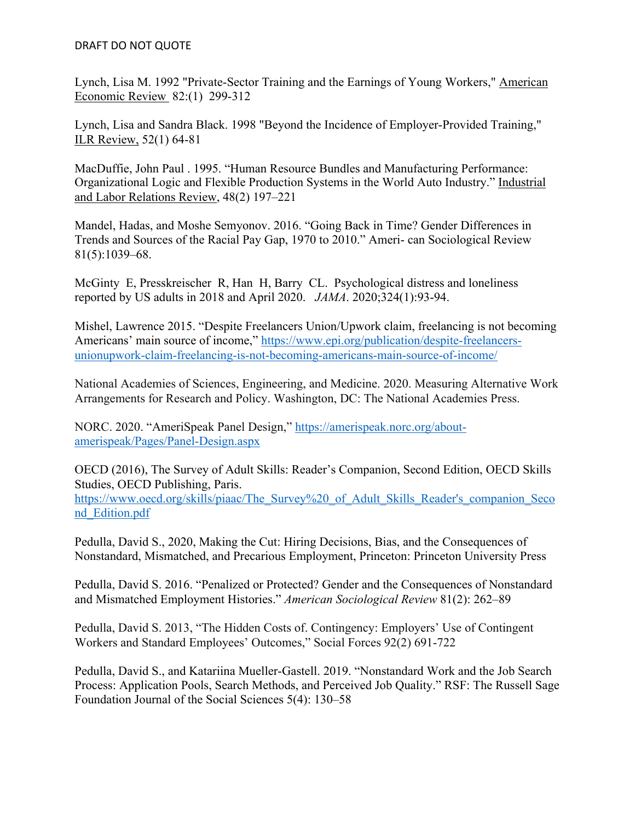Lynch, Lisa M. 1992 "Private-Sector Training and the Earnings of Young Workers," American Economic Review 82:(1) 299-312

Lynch, Lisa and Sandra Black. 1998 "Beyond the Incidence of Employer-Provided Training," ILR Review, 52(1) 64-81

MacDuffie, John Paul . 1995. "Human Resource Bundles and Manufacturing Performance: Organizational Logic and Flexible Production Systems in the World Auto Industry." Industrial and Labor Relations Review, 48(2) 197–221

Mandel, Hadas, and Moshe Semyonov. 2016. "Going Back in Time? Gender Differences in Trends and Sources of the Racial Pay Gap, 1970 to 2010." Ameri- can Sociological Review 81(5):1039–68.

McGinty E, Presskreischer R, Han H, Barry CL. Psychological distress and loneliness reported by US adults in 2018 and April 2020. *JAMA*. 2020;324(1):93-94.

Mishel, Lawrence 2015. "Despite Freelancers Union/Upwork claim, freelancing is not becoming Americans' main source of income," https://www.epi.org/publication/despite-freelancersunionupwork-claim-freelancing-is-not-becoming-americans-main-source-of-income/

National Academies of Sciences, Engineering, and Medicine. 2020. Measuring Alternative Work Arrangements for Research and Policy. Washington, DC: The National Academies Press.

NORC. 2020. "AmeriSpeak Panel Design," https://amerispeak.norc.org/aboutamerispeak/Pages/Panel-Design.aspx

OECD (2016), The Survey of Adult Skills: Reader's Companion, Second Edition, OECD Skills Studies, OECD Publishing, Paris.

https://www.oecd.org/skills/piaac/The Survey%20 of Adult Skills Reader's companion Seco nd\_Edition.pdf

Pedulla, David S., 2020, Making the Cut: Hiring Decisions, Bias, and the Consequences of Nonstandard, Mismatched, and Precarious Employment, Princeton: Princeton University Press

Pedulla, David S. 2016. "Penalized or Protected? Gender and the Consequences of Nonstandard and Mismatched Employment Histories." *American Sociological Review* 81(2): 262–89

Pedulla, David S. 2013, "The Hidden Costs of. Contingency: Employers' Use of Contingent Workers and Standard Employees' Outcomes," Social Forces 92(2) 691-722

Pedulla, David S., and Katariina Mueller-Gastell. 2019. "Nonstandard Work and the Job Search Process: Application Pools, Search Methods, and Perceived Job Quality." RSF: The Russell Sage Foundation Journal of the Social Sciences 5(4): 130–58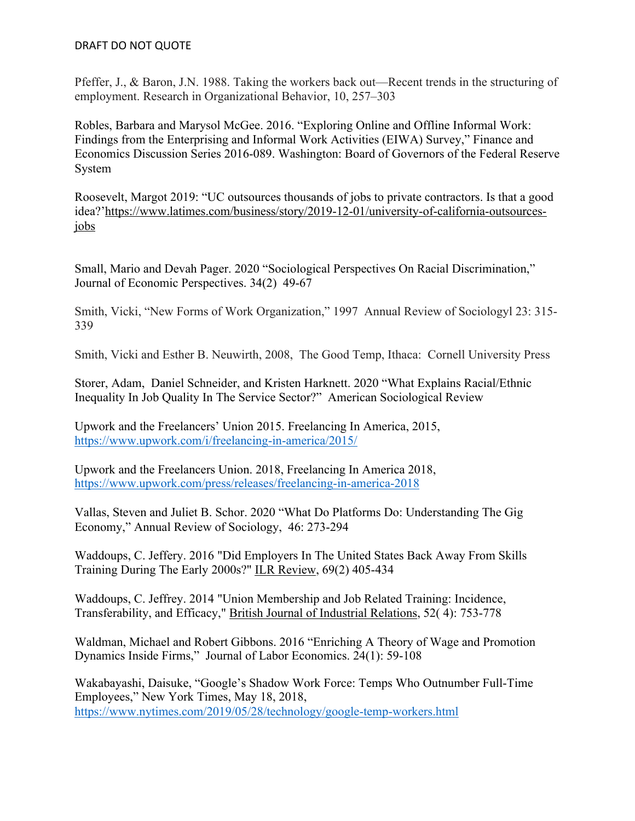Pfeffer, J., & Baron, J.N. 1988. Taking the workers back out—Recent trends in the structuring of employment. Research in Organizational Behavior, 10, 257–303

Robles, Barbara and Marysol McGee. 2016. "Exploring Online and Offline Informal Work: Findings from the Enterprising and Informal Work Activities (EIWA) Survey," Finance and Economics Discussion Series 2016-089. Washington: Board of Governors of the Federal Reserve System

Roosevelt, Margot 2019: "UC outsources thousands of jobs to private contractors. Is that a good idea?'https://www.latimes.com/business/story/2019-12-01/university-of-california-outsourcesjobs

Small, Mario and Devah Pager. 2020 "Sociological Perspectives On Racial Discrimination," Journal of Economic Perspectives. 34(2) 49-67

Smith, Vicki, "New Forms of Work Organization," 1997 Annual Review of Sociologyl 23: 315- 339

Smith, Vicki and Esther B. Neuwirth, 2008, The Good Temp, Ithaca: Cornell University Press

Storer, Adam, Daniel Schneider, and Kristen Harknett. 2020 "What Explains Racial/Ethnic Inequality In Job Quality In The Service Sector?" American Sociological Review

Upwork and the Freelancers' Union 2015. Freelancing In America, 2015, https://www.upwork.com/i/freelancing-in-america/2015/

Upwork and the Freelancers Union. 2018, Freelancing In America 2018, https://www.upwork.com/press/releases/freelancing-in-america-2018

Vallas, Steven and Juliet B. Schor. 2020 "What Do Platforms Do: Understanding The Gig Economy," Annual Review of Sociology, 46: 273-294

Waddoups, C. Jeffery. 2016 "Did Employers In The United States Back Away From Skills Training During The Early 2000s?" ILR Review, 69(2) 405-434

Waddoups, C. Jeffrey. 2014 "Union Membership and Job Related Training: Incidence, Transferability, and Efficacy," British Journal of Industrial Relations, 52( 4): 753-778

Waldman, Michael and Robert Gibbons. 2016 "Enriching A Theory of Wage and Promotion Dynamics Inside Firms," Journal of Labor Economics. 24(1): 59-108

Wakabayashi, Daisuke, "Google's Shadow Work Force: Temps Who Outnumber Full-Time Employees," New York Times, May 18, 2018, https://www.nytimes.com/2019/05/28/technology/google-temp-workers.html